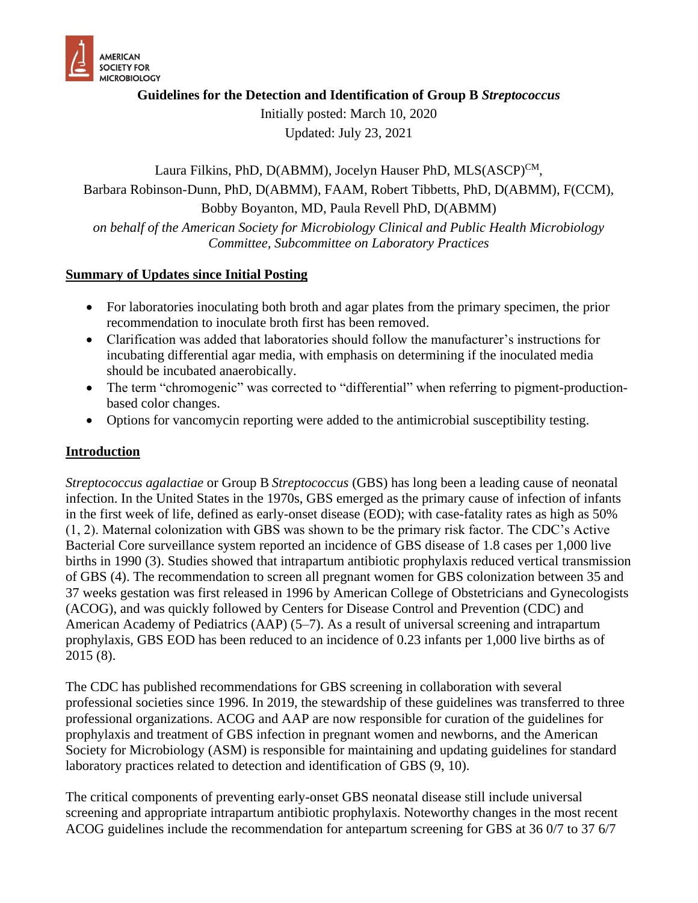

**Guidelines for the Detection and Identification of Group B** *Streptococcus*

Initially posted: March 10, 2020 Updated: July 23, 2021

Laura Filkins, PhD, D(ABMM), Jocelyn Hauser PhD, MLS(ASCP)<sup>CM</sup>, Barbara Robinson-Dunn, PhD, D(ABMM), FAAM, Robert Tibbetts, PhD, D(ABMM), F(CCM), Bobby Boyanton, MD, Paula Revell PhD, D(ABMM) *on behalf of the American Society for Microbiology Clinical and Public Health Microbiology Committee, Subcommittee on Laboratory Practices*

#### **Summary of Updates since Initial Posting**

- For laboratories inoculating both broth and agar plates from the primary specimen, the prior recommendation to inoculate broth first has been removed.
- Clarification was added that laboratories should follow the manufacturer's instructions for incubating differential agar media, with emphasis on determining if the inoculated media should be incubated anaerobically.
- The term "chromogenic" was corrected to "differential" when referring to pigment-productionbased color changes.
- Options for vancomycin reporting were added to the antimicrobial susceptibility testing.

### **Introduction**

*Streptococcus agalactiae* or Group B *Streptococcus* (GBS) has long been a leading cause of neonatal infection. In the United States in the 1970s, GBS emerged as the primary cause of infection of infants in the first week of life, defined as early-onset disease (EOD); with case-fatality rates as high as 50% (1, 2). Maternal colonization with GBS was shown to be the primary risk factor. The CDC's Active Bacterial Core surveillance system reported an incidence of GBS disease of 1.8 cases per 1,000 live births in 1990 (3). Studies showed that intrapartum antibiotic prophylaxis reduced vertical transmission of GBS (4). The recommendation to screen all pregnant women for GBS colonization between 35 and 37 weeks gestation was first released in 1996 by American College of Obstetricians and Gynecologists (ACOG), and was quickly followed by Centers for Disease Control and Prevention (CDC) and American Academy of Pediatrics (AAP) (5–7). As a result of universal screening and intrapartum prophylaxis, GBS EOD has been reduced to an incidence of 0.23 infants per 1,000 live births as of 2015 (8).

The CDC has published recommendations for GBS screening in collaboration with several professional societies since 1996. In 2019, the stewardship of these guidelines was transferred to three professional organizations. ACOG and AAP are now responsible for curation of the guidelines for prophylaxis and treatment of GBS infection in pregnant women and newborns, and the American Society for Microbiology (ASM) is responsible for maintaining and updating guidelines for standard laboratory practices related to detection and identification of GBS (9, 10).

The critical components of preventing early-onset GBS neonatal disease still include universal screening and appropriate intrapartum antibiotic prophylaxis. Noteworthy changes in the most recent ACOG guidelines include the recommendation for antepartum screening for GBS at 36 0/7 to 37 6/7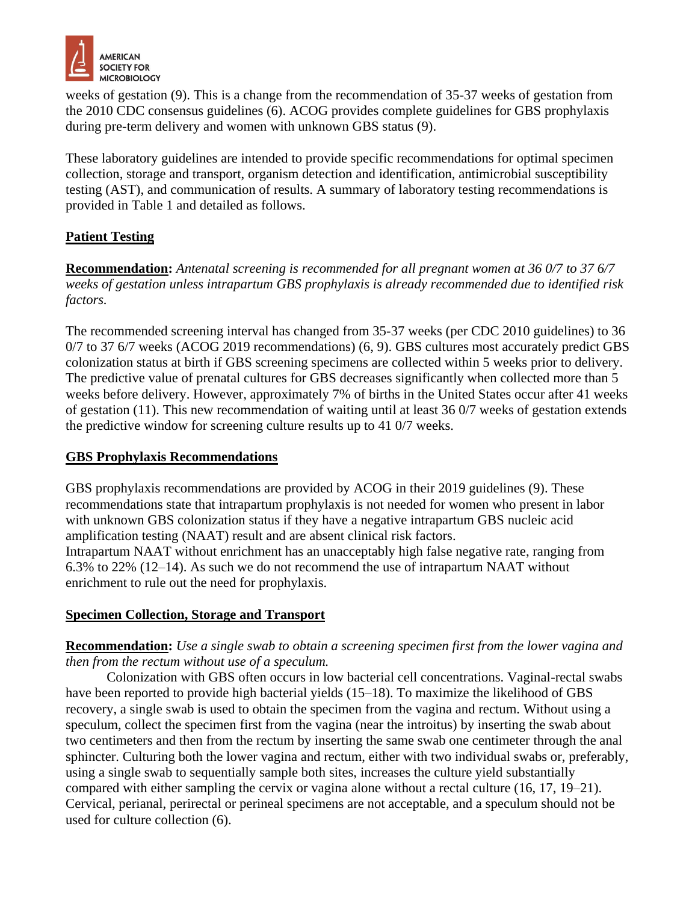

weeks of gestation (9). This is a change from the recommendation of 35-37 weeks of gestation from the 2010 CDC consensus guidelines (6). ACOG provides complete guidelines for GBS prophylaxis during pre-term delivery and women with unknown GBS status (9).

These laboratory guidelines are intended to provide specific recommendations for optimal specimen collection, storage and transport, organism detection and identification, antimicrobial susceptibility testing (AST), and communication of results. A summary of laboratory testing recommendations is provided in Table 1 and detailed as follows.

### **Patient Testing**

**Recommendation:** *Antenatal screening is recommended for all pregnant women at 36 0/7 to 37 6/7 weeks of gestation unless intrapartum GBS prophylaxis is already recommended due to identified risk factors.* 

The recommended screening interval has changed from 35-37 weeks (per CDC 2010 guidelines) to 36 0/7 to 37 6/7 weeks (ACOG 2019 recommendations) (6, 9). GBS cultures most accurately predict GBS colonization status at birth if GBS screening specimens are collected within 5 weeks prior to delivery. The predictive value of prenatal cultures for GBS decreases significantly when collected more than 5 weeks before delivery. However, approximately 7% of births in the United States occur after 41 weeks of gestation (11). This new recommendation of waiting until at least 36 0/7 weeks of gestation extends the predictive window for screening culture results up to 41 0/7 weeks.

### **GBS Prophylaxis Recommendations**

GBS prophylaxis recommendations are provided by ACOG in their 2019 guidelines (9). These recommendations state that intrapartum prophylaxis is not needed for women who present in labor with unknown GBS colonization status if they have a negative intrapartum GBS nucleic acid amplification testing (NAAT) result and are absent clinical risk factors. Intrapartum NAAT without enrichment has an unacceptably high false negative rate, ranging from 6.3% to 22% (12–14). As such we do not recommend the use of intrapartum NAAT without

enrichment to rule out the need for prophylaxis.

### **Specimen Collection, Storage and Transport**

### **Recommendation:** *Use a single swab to obtain a screening specimen first from the lower vagina and then from the rectum without use of a speculum.*

Colonization with GBS often occurs in low bacterial cell concentrations. Vaginal-rectal swabs have been reported to provide high bacterial yields (15–18). To maximize the likelihood of GBS recovery, a single swab is used to obtain the specimen from the vagina and rectum. Without using a speculum, collect the specimen first from the vagina (near the introitus) by inserting the swab about two centimeters and then from the rectum by inserting the same swab one centimeter through the anal sphincter. Culturing both the lower vagina and rectum, either with two individual swabs or, preferably, using a single swab to sequentially sample both sites, increases the culture yield substantially compared with either sampling the cervix or vagina alone without a rectal culture (16, 17, 19–21). Cervical, perianal, perirectal or perineal specimens are not acceptable, and a speculum should not be used for culture collection (6).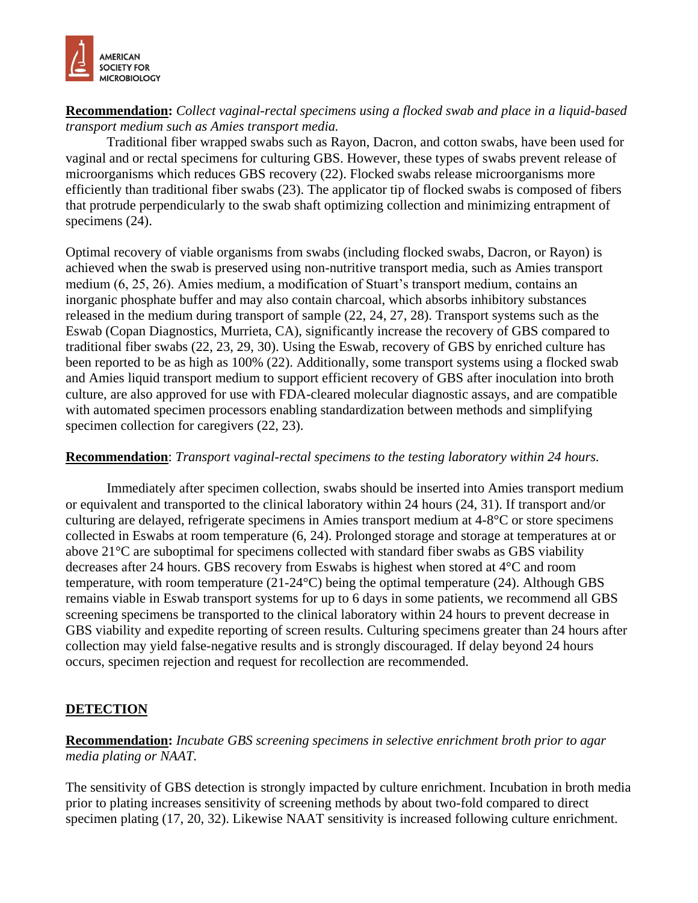

### **Recommendation:** *Collect vaginal-rectal specimens using a flocked swab and place in a liquid-based transport medium such as Amies transport media.*

Traditional fiber wrapped swabs such as Rayon, Dacron, and cotton swabs, have been used for vaginal and or rectal specimens for culturing GBS. However, these types of swabs prevent release of microorganisms which reduces GBS recovery (22). Flocked swabs release microorganisms more efficiently than traditional fiber swabs (23). The applicator tip of flocked swabs is composed of fibers that protrude perpendicularly to the swab shaft optimizing collection and minimizing entrapment of specimens  $(24)$ .

Optimal recovery of viable organisms from swabs (including flocked swabs, Dacron, or Rayon) is achieved when the swab is preserved using non-nutritive transport media, such as Amies transport medium (6, 25, 26). Amies medium, a modification of Stuart's transport medium, contains an inorganic phosphate buffer and may also contain charcoal, which absorbs inhibitory substances released in the medium during transport of sample (22, 24, 27, 28). Transport systems such as the Eswab (Copan Diagnostics, Murrieta, CA), significantly increase the recovery of GBS compared to traditional fiber swabs (22, 23, 29, 30). Using the Eswab, recovery of GBS by enriched culture has been reported to be as high as 100% (22). Additionally, some transport systems using a flocked swab and Amies liquid transport medium to support efficient recovery of GBS after inoculation into broth culture, are also approved for use with FDA-cleared molecular diagnostic assays, and are compatible with automated specimen processors enabling standardization between methods and simplifying specimen collection for caregivers (22, 23).

### **Recommendation**: *Transport vaginal-rectal specimens to the testing laboratory within 24 hours.*

Immediately after specimen collection, swabs should be inserted into Amies transport medium or equivalent and transported to the clinical laboratory within 24 hours (24, 31). If transport and/or culturing are delayed, refrigerate specimens in Amies transport medium at 4-8°C or store specimens collected in Eswabs at room temperature (6, 24). Prolonged storage and storage at temperatures at or above 21°C are suboptimal for specimens collected with standard fiber swabs as GBS viability decreases after 24 hours. GBS recovery from Eswabs is highest when stored at 4°C and room temperature, with room temperature (21-24°C) being the optimal temperature (24). Although GBS remains viable in Eswab transport systems for up to 6 days in some patients, we recommend all GBS screening specimens be transported to the clinical laboratory within 24 hours to prevent decrease in GBS viability and expedite reporting of screen results. Culturing specimens greater than 24 hours after collection may yield false-negative results and is strongly discouraged. If delay beyond 24 hours occurs, specimen rejection and request for recollection are recommended.

### **DETECTION**

**Recommendation:** *Incubate GBS screening specimens in selective enrichment broth prior to agar media plating or NAAT.*

The sensitivity of GBS detection is strongly impacted by culture enrichment. Incubation in broth media prior to plating increases sensitivity of screening methods by about two-fold compared to direct specimen plating (17, 20, 32). Likewise NAAT sensitivity is increased following culture enrichment.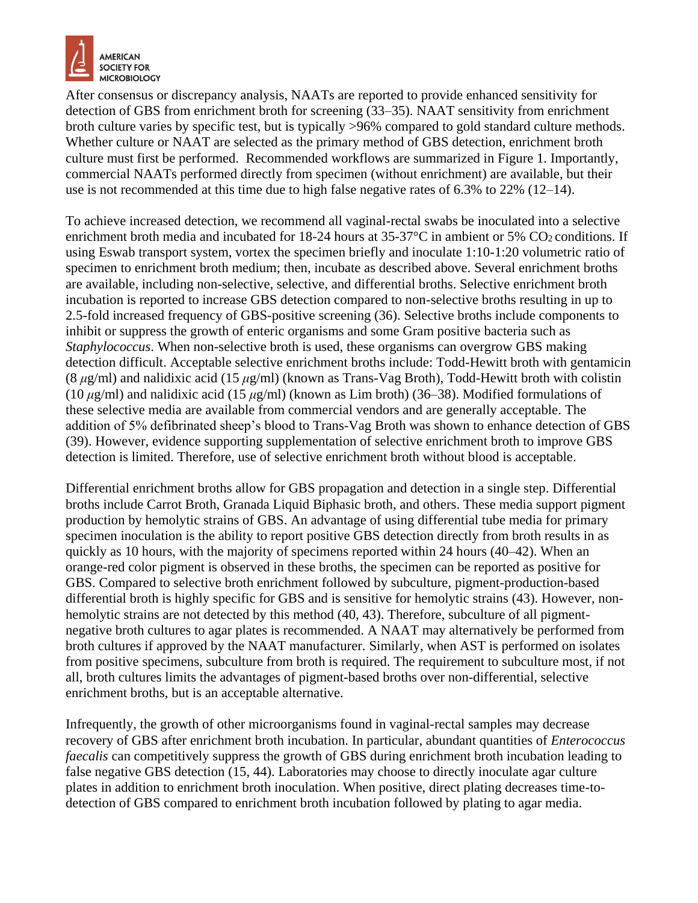

After consensus or discrepancy analysis, NAATs are reported to provide enhanced sensitivity for detection of GBS from enrichment broth for screening (33–35). NAAT sensitivity from enrichment broth culture varies by specific test, but is typically >96% compared to gold standard culture methods. Whether culture or NAAT are selected as the primary method of GBS detection, enrichment broth culture must first be performed. Recommended workflows are summarized in Figure 1. Importantly, commercial NAATs performed directly from specimen (without enrichment) are available, but their use is not recommended at this time due to high false negative rates of 6.3% to 22% (12–14).

To achieve increased detection, we recommend all vaginal-rectal swabs be inoculated into a selective enrichment broth media and incubated for 18-24 hours at  $35-37$ °C in ambient or 5% CO2 conditions. If using Eswab transport system, vortex the specimen briefly and inoculate 1:10-1:20 volumetric ratio of specimen to enrichment broth medium; then, incubate as described above. Several enrichment broths are available, including non-selective, selective, and differential broths. Selective enrichment broth incubation is reported to increase GBS detection compared to non-selective broths resulting in up to 2.5-fold increased frequency of GBS-positive screening (36). Selective broths include components to inhibit or suppress the growth of enteric organisms and some Gram positive bacteria such as *Staphylococcus*. When non-selective broth is used, these organisms can overgrow GBS making detection difficult. Acceptable selective enrichment broths include: Todd-Hewitt broth with gentamicin (8 *μ*g/ml) and nalidixic acid (15 *μ*g/ml) (known as Trans-Vag Broth), Todd-Hewitt broth with colistin (10 *μ*g/ml) and nalidixic acid (15 *μ*g/ml) (known as Lim broth) (36–38). Modified formulations of these selective media are available from commercial vendors and are generally acceptable. The addition of 5% defibrinated sheep's blood to Trans-Vag Broth was shown to enhance detection of GBS (39). However, evidence supporting supplementation of selective enrichment broth to improve GBS detection is limited. Therefore, use of selective enrichment broth without blood is acceptable.

Differential enrichment broths allow for GBS propagation and detection in a single step. Differential broths include Carrot Broth, Granada Liquid Biphasic broth, and others. These media support pigment production by hemolytic strains of GBS. An advantage of using differential tube media for primary specimen inoculation is the ability to report positive GBS detection directly from broth results in as quickly as 10 hours, with the majority of specimens reported within 24 hours (40–42). When an orange-red color pigment is observed in these broths, the specimen can be reported as positive for GBS. Compared to selective broth enrichment followed by subculture, pigment-production-based differential broth is highly specific for GBS and is sensitive for hemolytic strains (43). However, nonhemolytic strains are not detected by this method (40, 43). Therefore, subculture of all pigmentnegative broth cultures to agar plates is recommended. A NAAT may alternatively be performed from broth cultures if approved by the NAAT manufacturer. Similarly, when AST is performed on isolates from positive specimens, subculture from broth is required. The requirement to subculture most, if not all, broth cultures limits the advantages of pigment-based broths over non-differential, selective enrichment broths, but is an acceptable alternative.

Infrequently, the growth of other microorganisms found in vaginal-rectal samples may decrease recovery of GBS after enrichment broth incubation. In particular, abundant quantities of *Enterococcus faecalis* can competitively suppress the growth of GBS during enrichment broth incubation leading to false negative GBS detection (15, 44). Laboratories may choose to directly inoculate agar culture plates in addition to enrichment broth inoculation. When positive, direct plating decreases time-todetection of GBS compared to enrichment broth incubation followed by plating to agar media.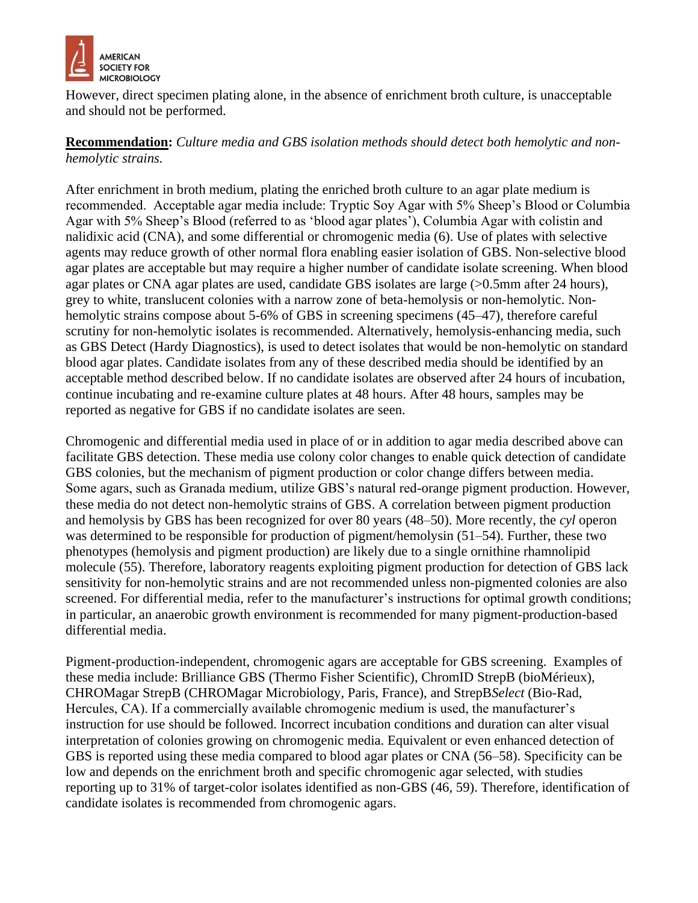

However, direct specimen plating alone, in the absence of enrichment broth culture, is unacceptable and should not be performed.

### **Recommendation:** *Culture media and GBS isolation methods should detect both hemolytic and nonhemolytic strains.*

After enrichment in broth medium, plating the enriched broth culture to an agar plate medium is recommended. Acceptable agar media include: Tryptic Soy Agar with 5% Sheep's Blood or Columbia Agar with 5% Sheep's Blood (referred to as 'blood agar plates'), Columbia Agar with colistin and nalidixic acid (CNA), and some differential or chromogenic media (6). Use of plates with selective agents may reduce growth of other normal flora enabling easier isolation of GBS. Non-selective blood agar plates are acceptable but may require a higher number of candidate isolate screening. When blood agar plates or CNA agar plates are used, candidate GBS isolates are large (>0.5mm after 24 hours), grey to white, translucent colonies with a narrow zone of beta-hemolysis or non-hemolytic. Nonhemolytic strains compose about 5-6% of GBS in screening specimens (45–47), therefore careful scrutiny for non-hemolytic isolates is recommended. Alternatively, hemolysis-enhancing media, such as GBS Detect (Hardy Diagnostics), is used to detect isolates that would be non-hemolytic on standard blood agar plates. Candidate isolates from any of these described media should be identified by an acceptable method described below. If no candidate isolates are observed after 24 hours of incubation, continue incubating and re-examine culture plates at 48 hours. After 48 hours, samples may be reported as negative for GBS if no candidate isolates are seen.

Chromogenic and differential media used in place of or in addition to agar media described above can facilitate GBS detection. These media use colony color changes to enable quick detection of candidate GBS colonies, but the mechanism of pigment production or color change differs between media. Some agars, such as Granada medium, utilize GBS's natural red-orange pigment production. However, these media do not detect non-hemolytic strains of GBS. A correlation between pigment production and hemolysis by GBS has been recognized for over 80 years (48–50). More recently, the *cyl* operon was determined to be responsible for production of pigment/hemolysin (51–54). Further, these two phenotypes (hemolysis and pigment production) are likely due to a single ornithine rhamnolipid molecule (55). Therefore, laboratory reagents exploiting pigment production for detection of GBS lack sensitivity for non-hemolytic strains and are not recommended unless non-pigmented colonies are also screened. For differential media, refer to the manufacturer's instructions for optimal growth conditions; in particular, an anaerobic growth environment is recommended for many pigment-production-based differential media.

Pigment-production-independent, chromogenic agars are acceptable for GBS screening. Examples of these media include: Brilliance GBS (Thermo Fisher Scientific), ChromID StrepB (bioMérieux), CHROMagar StrepB (CHROMagar Microbiology, Paris, France), and StrepB*Select* (Bio-Rad, Hercules, CA). If a commercially available chromogenic medium is used, the manufacturer's instruction for use should be followed. Incorrect incubation conditions and duration can alter visual interpretation of colonies growing on chromogenic media. Equivalent or even enhanced detection of GBS is reported using these media compared to blood agar plates or CNA (56–58). Specificity can be low and depends on the enrichment broth and specific chromogenic agar selected, with studies reporting up to 31% of target-color isolates identified as non-GBS (46, 59). Therefore, identification of candidate isolates is recommended from chromogenic agars.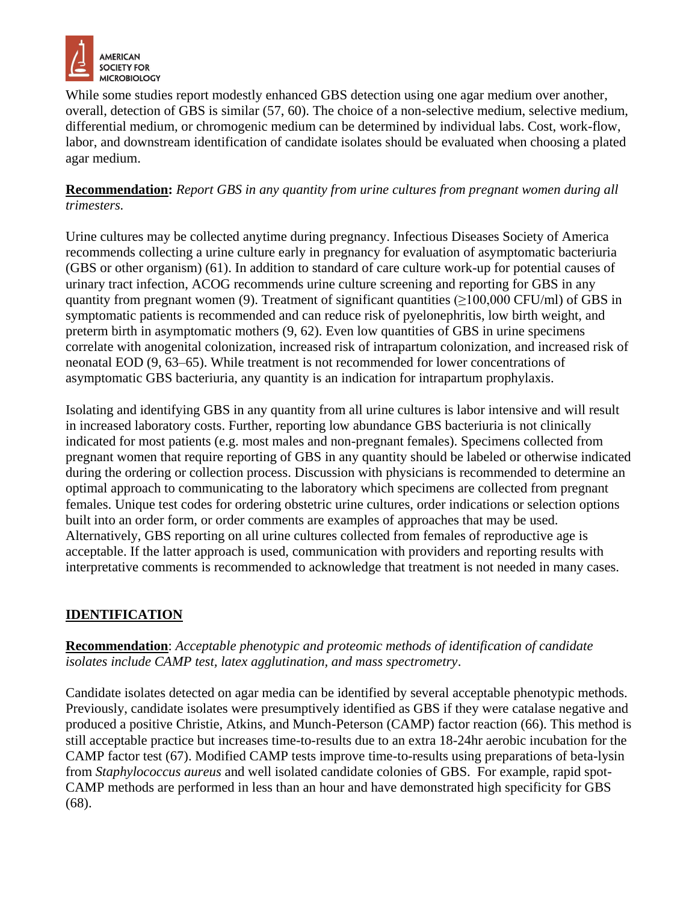

While some studies report modestly enhanced GBS detection using one agar medium over another, overall, detection of GBS is similar (57, 60). The choice of a non-selective medium, selective medium, differential medium, or chromogenic medium can be determined by individual labs. Cost, work-flow, labor, and downstream identification of candidate isolates should be evaluated when choosing a plated agar medium.

**Recommendation:** *Report GBS in any quantity from urine cultures from pregnant women during all trimesters.*

Urine cultures may be collected anytime during pregnancy. Infectious Diseases Society of America recommends collecting a urine culture early in pregnancy for evaluation of asymptomatic bacteriuria (GBS or other organism) (61). In addition to standard of care culture work-up for potential causes of urinary tract infection, ACOG recommends urine culture screening and reporting for GBS in any quantity from pregnant women (9). Treatment of significant quantities ( $\geq$ 100,000 CFU/ml) of GBS in symptomatic patients is recommended and can reduce risk of pyelonephritis, low birth weight, and preterm birth in asymptomatic mothers (9, 62). Even low quantities of GBS in urine specimens correlate with anogenital colonization, increased risk of intrapartum colonization, and increased risk of neonatal EOD (9, 63–65). While treatment is not recommended for lower concentrations of asymptomatic GBS bacteriuria, any quantity is an indication for intrapartum prophylaxis.

Isolating and identifying GBS in any quantity from all urine cultures is labor intensive and will result in increased laboratory costs. Further, reporting low abundance GBS bacteriuria is not clinically indicated for most patients (e.g. most males and non-pregnant females). Specimens collected from pregnant women that require reporting of GBS in any quantity should be labeled or otherwise indicated during the ordering or collection process. Discussion with physicians is recommended to determine an optimal approach to communicating to the laboratory which specimens are collected from pregnant females. Unique test codes for ordering obstetric urine cultures, order indications or selection options built into an order form, or order comments are examples of approaches that may be used. Alternatively, GBS reporting on all urine cultures collected from females of reproductive age is acceptable. If the latter approach is used, communication with providers and reporting results with interpretative comments is recommended to acknowledge that treatment is not needed in many cases.

# **IDENTIFICATION**

**Recommendation**: *Acceptable phenotypic and proteomic methods of identification of candidate isolates include CAMP test, latex agglutination, and mass spectrometry*.

Candidate isolates detected on agar media can be identified by several acceptable phenotypic methods. Previously, candidate isolates were presumptively identified as GBS if they were catalase negative and produced a positive Christie, Atkins, and Munch-Peterson (CAMP) factor reaction (66). This method is still acceptable practice but increases time-to-results due to an extra 18-24hr aerobic incubation for the CAMP factor test (67). Modified CAMP tests improve time-to-results using preparations of beta-lysin from *Staphylococcus aureus* and well isolated candidate colonies of GBS. For example, rapid spot-CAMP methods are performed in less than an hour and have demonstrated high specificity for GBS (68).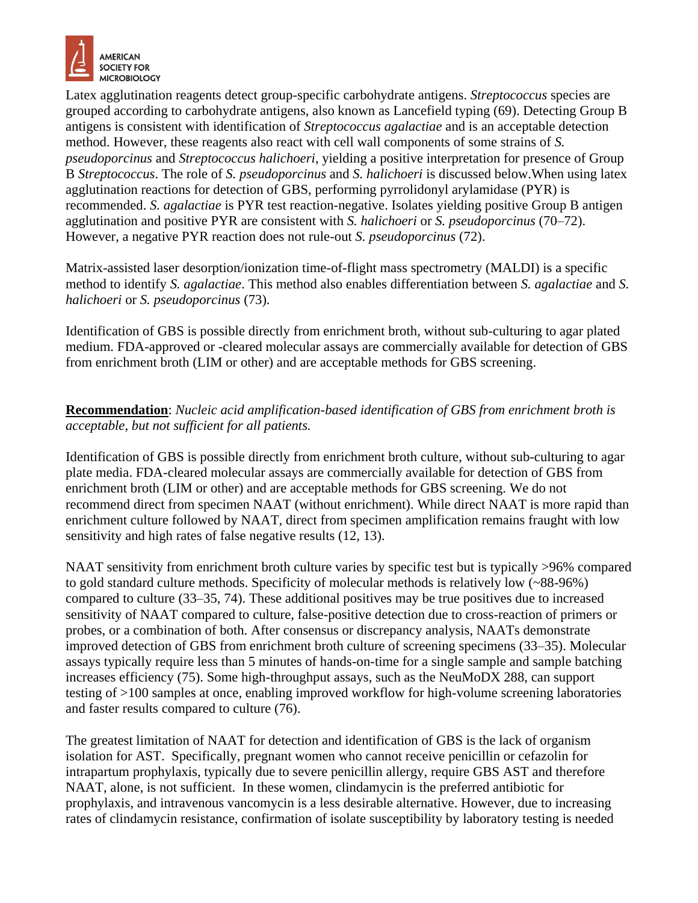

Latex agglutination reagents detect group-specific carbohydrate antigens. *Streptococcus* species are grouped according to carbohydrate antigens, also known as Lancefield typing (69). Detecting Group B antigens is consistent with identification of *Streptococcus agalactiae* and is an acceptable detection method. However, these reagents also react with cell wall components of some strains of *S. pseudoporcinus* and *Streptococcus halichoeri*, yielding a positive interpretation for presence of Group B *Streptococcus*. The role of *S. pseudoporcinus* and *S. halichoeri* is discussed below.When using latex agglutination reactions for detection of GBS, performing pyrrolidonyl arylamidase (PYR) is recommended. *S. agalactiae* is PYR test reaction-negative. Isolates yielding positive Group B antigen agglutination and positive PYR are consistent with *S. halichoeri* or *S. pseudoporcinus* (70–72). However, a negative PYR reaction does not rule-out *S. pseudoporcinus* (72).

Matrix-assisted laser desorption/ionization time-of-flight mass spectrometry (MALDI) is a specific method to identify *S. agalactiae*. This method also enables differentiation between *S. agalactiae* and *S. halichoeri* or *S. pseudoporcinus* (73).

Identification of GBS is possible directly from enrichment broth, without sub-culturing to agar plated medium. FDA-approved or -cleared molecular assays are commercially available for detection of GBS from enrichment broth (LIM or other) and are acceptable methods for GBS screening.

**Recommendation**: *Nucleic acid amplification-based identification of GBS from enrichment broth is acceptable, but not sufficient for all patients.*

Identification of GBS is possible directly from enrichment broth culture, without sub-culturing to agar plate media. FDA-cleared molecular assays are commercially available for detection of GBS from enrichment broth (LIM or other) and are acceptable methods for GBS screening. We do not recommend direct from specimen NAAT (without enrichment). While direct NAAT is more rapid than enrichment culture followed by NAAT, direct from specimen amplification remains fraught with low sensitivity and high rates of false negative results (12, 13).

NAAT sensitivity from enrichment broth culture varies by specific test but is typically >96% compared to gold standard culture methods. Specificity of molecular methods is relatively low (~88-96%) compared to culture (33–35, 74). These additional positives may be true positives due to increased sensitivity of NAAT compared to culture, false-positive detection due to cross-reaction of primers or probes, or a combination of both. After consensus or discrepancy analysis, NAATs demonstrate improved detection of GBS from enrichment broth culture of screening specimens (33–35). Molecular assays typically require less than 5 minutes of hands-on-time for a single sample and sample batching increases efficiency (75). Some high-throughput assays, such as the NeuMoDX 288, can support testing of >100 samples at once, enabling improved workflow for high-volume screening laboratories and faster results compared to culture (76).

The greatest limitation of NAAT for detection and identification of GBS is the lack of organism isolation for AST. Specifically, pregnant women who cannot receive penicillin or cefazolin for intrapartum prophylaxis, typically due to severe penicillin allergy, require GBS AST and therefore NAAT, alone, is not sufficient. In these women, clindamycin is the preferred antibiotic for prophylaxis, and intravenous vancomycin is a less desirable alternative. However, due to increasing rates of clindamycin resistance, confirmation of isolate susceptibility by laboratory testing is needed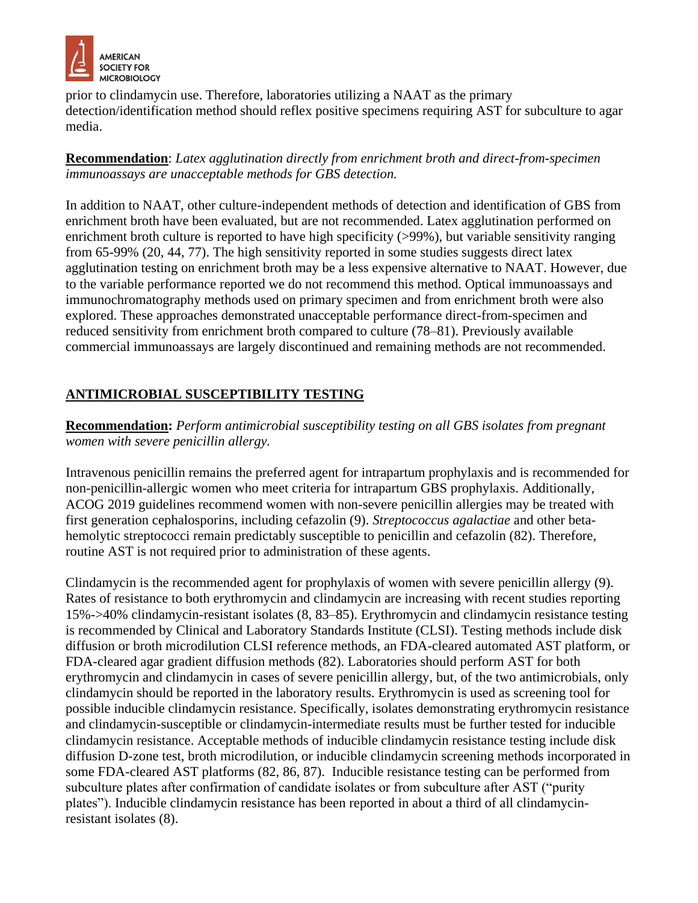

prior to clindamycin use. Therefore, laboratories utilizing a NAAT as the primary detection/identification method should reflex positive specimens requiring AST for subculture to agar media.

**Recommendation**: *Latex agglutination directly from enrichment broth and direct-from-specimen immunoassays are unacceptable methods for GBS detection.*

In addition to NAAT, other culture-independent methods of detection and identification of GBS from enrichment broth have been evaluated, but are not recommended. Latex agglutination performed on enrichment broth culture is reported to have high specificity (>99%), but variable sensitivity ranging from 65-99% (20, 44, 77). The high sensitivity reported in some studies suggests direct latex agglutination testing on enrichment broth may be a less expensive alternative to NAAT. However, due to the variable performance reported we do not recommend this method. Optical immunoassays and immunochromatography methods used on primary specimen and from enrichment broth were also explored. These approaches demonstrated unacceptable performance direct-from-specimen and reduced sensitivity from enrichment broth compared to culture (78–81). Previously available commercial immunoassays are largely discontinued and remaining methods are not recommended.

# **ANTIMICROBIAL SUSCEPTIBILITY TESTING**

**Recommendation:** *Perform antimicrobial susceptibility testing on all GBS isolates from pregnant women with severe penicillin allergy.* 

Intravenous penicillin remains the preferred agent for intrapartum prophylaxis and is recommended for non-penicillin-allergic women who meet criteria for intrapartum GBS prophylaxis. Additionally, ACOG 2019 guidelines recommend women with non-severe penicillin allergies may be treated with first generation cephalosporins, including cefazolin (9). *Streptococcus agalactiae* and other betahemolytic streptococci remain predictably susceptible to penicillin and cefazolin (82). Therefore, routine AST is not required prior to administration of these agents.

Clindamycin is the recommended agent for prophylaxis of women with severe penicillin allergy (9). Rates of resistance to both erythromycin and clindamycin are increasing with recent studies reporting 15%->40% clindamycin-resistant isolates (8, 83–85). Erythromycin and clindamycin resistance testing is recommended by Clinical and Laboratory Standards Institute (CLSI). Testing methods include disk diffusion or broth microdilution CLSI reference methods, an FDA-cleared automated AST platform, or FDA-cleared agar gradient diffusion methods (82). Laboratories should perform AST for both erythromycin and clindamycin in cases of severe penicillin allergy, but, of the two antimicrobials, only clindamycin should be reported in the laboratory results. Erythromycin is used as screening tool for possible inducible clindamycin resistance. Specifically, isolates demonstrating erythromycin resistance and clindamycin-susceptible or clindamycin-intermediate results must be further tested for inducible clindamycin resistance. Acceptable methods of inducible clindamycin resistance testing include disk diffusion D-zone test, broth microdilution, or inducible clindamycin screening methods incorporated in some FDA-cleared AST platforms (82, 86, 87). Inducible resistance testing can be performed from subculture plates after confirmation of candidate isolates or from subculture after AST ("purity plates"). Inducible clindamycin resistance has been reported in about a third of all clindamycinresistant isolates (8).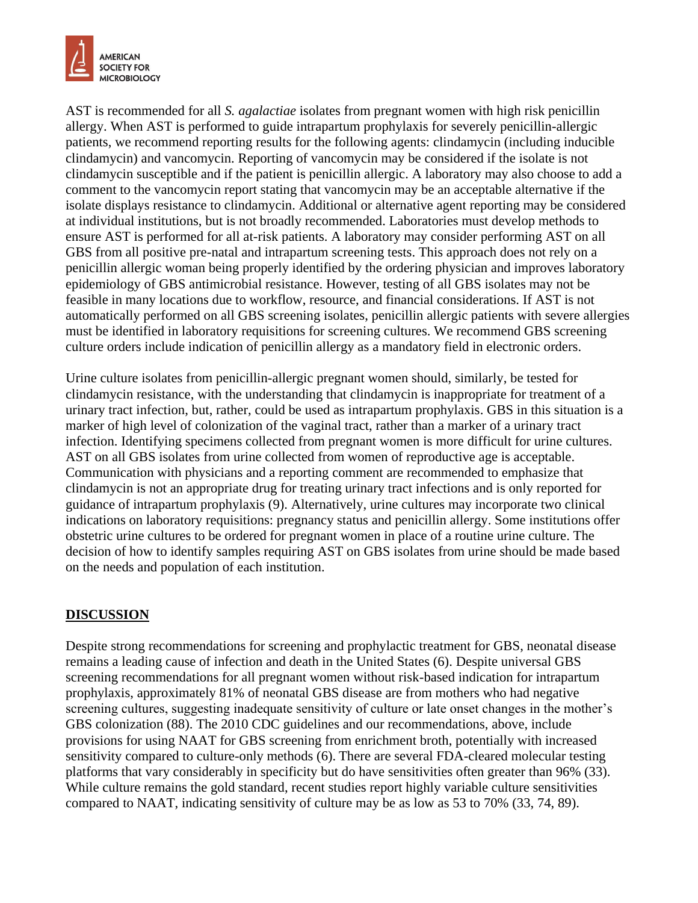

AST is recommended for all *S. agalactiae* isolates from pregnant women with high risk penicillin allergy. When AST is performed to guide intrapartum prophylaxis for severely penicillin-allergic patients, we recommend reporting results for the following agents: clindamycin (including inducible clindamycin) and vancomycin. Reporting of vancomycin may be considered if the isolate is not clindamycin susceptible and if the patient is penicillin allergic. A laboratory may also choose to add a comment to the vancomycin report stating that vancomycin may be an acceptable alternative if the isolate displays resistance to clindamycin. Additional or alternative agent reporting may be considered at individual institutions, but is not broadly recommended. Laboratories must develop methods to ensure AST is performed for all at-risk patients. A laboratory may consider performing AST on all GBS from all positive pre-natal and intrapartum screening tests. This approach does not rely on a penicillin allergic woman being properly identified by the ordering physician and improves laboratory epidemiology of GBS antimicrobial resistance. However, testing of all GBS isolates may not be feasible in many locations due to workflow, resource, and financial considerations. If AST is not automatically performed on all GBS screening isolates, penicillin allergic patients with severe allergies must be identified in laboratory requisitions for screening cultures. We recommend GBS screening culture orders include indication of penicillin allergy as a mandatory field in electronic orders.

Urine culture isolates from penicillin-allergic pregnant women should, similarly, be tested for clindamycin resistance, with the understanding that clindamycin is inappropriate for treatment of a urinary tract infection, but, rather, could be used as intrapartum prophylaxis. GBS in this situation is a marker of high level of colonization of the vaginal tract, rather than a marker of a urinary tract infection. Identifying specimens collected from pregnant women is more difficult for urine cultures. AST on all GBS isolates from urine collected from women of reproductive age is acceptable. Communication with physicians and a reporting comment are recommended to emphasize that clindamycin is not an appropriate drug for treating urinary tract infections and is only reported for guidance of intrapartum prophylaxis (9). Alternatively, urine cultures may incorporate two clinical indications on laboratory requisitions: pregnancy status and penicillin allergy. Some institutions offer obstetric urine cultures to be ordered for pregnant women in place of a routine urine culture. The decision of how to identify samples requiring AST on GBS isolates from urine should be made based on the needs and population of each institution.

# **DISCUSSION**

Despite strong recommendations for screening and prophylactic treatment for GBS, neonatal disease remains a leading cause of infection and death in the United States (6). Despite universal GBS screening recommendations for all pregnant women without risk-based indication for intrapartum prophylaxis, approximately 81% of neonatal GBS disease are from mothers who had negative screening cultures, suggesting inadequate sensitivity of culture or late onset changes in the mother's GBS colonization (88). The 2010 CDC guidelines and our recommendations, above, include provisions for using NAAT for GBS screening from enrichment broth, potentially with increased sensitivity compared to culture-only methods (6). There are several FDA-cleared molecular testing platforms that vary considerably in specificity but do have sensitivities often greater than 96% (33). While culture remains the gold standard, recent studies report highly variable culture sensitivities compared to NAAT, indicating sensitivity of culture may be as low as 53 to 70% (33, 74, 89).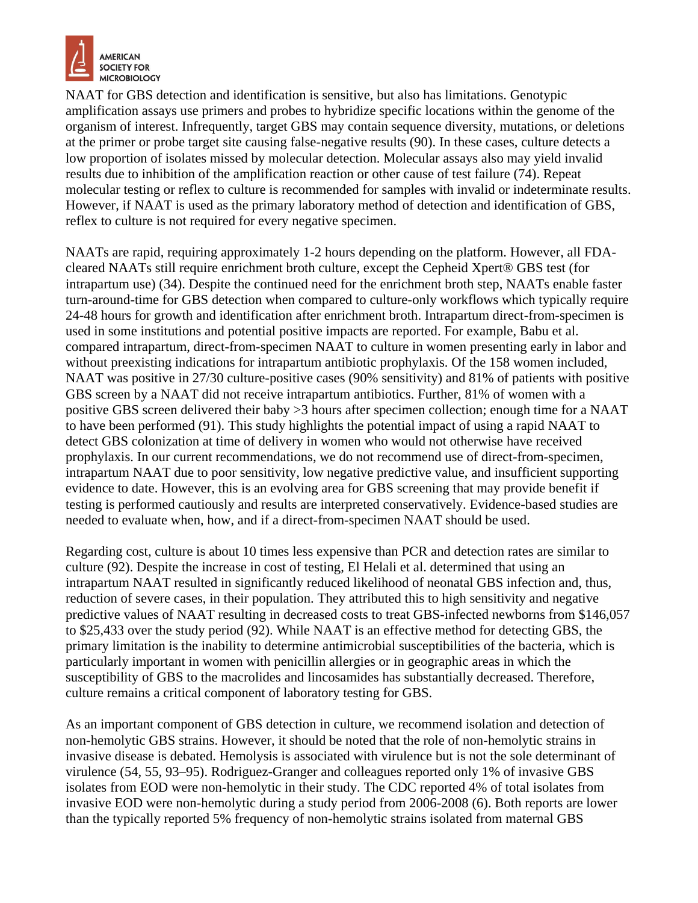

NAAT for GBS detection and identification is sensitive, but also has limitations. Genotypic amplification assays use primers and probes to hybridize specific locations within the genome of the organism of interest. Infrequently, target GBS may contain sequence diversity, mutations, or deletions at the primer or probe target site causing false-negative results (90). In these cases, culture detects a low proportion of isolates missed by molecular detection. Molecular assays also may yield invalid results due to inhibition of the amplification reaction or other cause of test failure (74). Repeat molecular testing or reflex to culture is recommended for samples with invalid or indeterminate results. However, if NAAT is used as the primary laboratory method of detection and identification of GBS, reflex to culture is not required for every negative specimen.

NAATs are rapid, requiring approximately 1-2 hours depending on the platform. However, all FDAcleared NAATs still require enrichment broth culture, except the Cepheid Xpert® GBS test (for intrapartum use) (34). Despite the continued need for the enrichment broth step, NAATs enable faster turn-around-time for GBS detection when compared to culture-only workflows which typically require 24-48 hours for growth and identification after enrichment broth. Intrapartum direct-from-specimen is used in some institutions and potential positive impacts are reported. For example, Babu et al. compared intrapartum, direct-from-specimen NAAT to culture in women presenting early in labor and without preexisting indications for intrapartum antibiotic prophylaxis. Of the 158 women included, NAAT was positive in 27/30 culture-positive cases (90% sensitivity) and 81% of patients with positive GBS screen by a NAAT did not receive intrapartum antibiotics. Further, 81% of women with a positive GBS screen delivered their baby >3 hours after specimen collection; enough time for a NAAT to have been performed (91). This study highlights the potential impact of using a rapid NAAT to detect GBS colonization at time of delivery in women who would not otherwise have received prophylaxis. In our current recommendations, we do not recommend use of direct-from-specimen, intrapartum NAAT due to poor sensitivity, low negative predictive value, and insufficient supporting evidence to date. However, this is an evolving area for GBS screening that may provide benefit if testing is performed cautiously and results are interpreted conservatively. Evidence-based studies are needed to evaluate when, how, and if a direct-from-specimen NAAT should be used.

Regarding cost, culture is about 10 times less expensive than PCR and detection rates are similar to culture (92). Despite the increase in cost of testing, El Helali et al. determined that using an intrapartum NAAT resulted in significantly reduced likelihood of neonatal GBS infection and, thus, reduction of severe cases, in their population. They attributed this to high sensitivity and negative predictive values of NAAT resulting in decreased costs to treat GBS-infected newborns from \$146,057 to \$25,433 over the study period (92). While NAAT is an effective method for detecting GBS, the primary limitation is the inability to determine antimicrobial susceptibilities of the bacteria, which is particularly important in women with penicillin allergies or in geographic areas in which the susceptibility of GBS to the macrolides and lincosamides has substantially decreased. Therefore, culture remains a critical component of laboratory testing for GBS.

As an important component of GBS detection in culture, we recommend isolation and detection of non-hemolytic GBS strains. However, it should be noted that the role of non-hemolytic strains in invasive disease is debated. Hemolysis is associated with virulence but is not the sole determinant of virulence (54, 55, 93–95). Rodriguez-Granger and colleagues reported only 1% of invasive GBS isolates from EOD were non-hemolytic in their study. The CDC reported 4% of total isolates from invasive EOD were non-hemolytic during a study period from 2006-2008 (6). Both reports are lower than the typically reported 5% frequency of non-hemolytic strains isolated from maternal GBS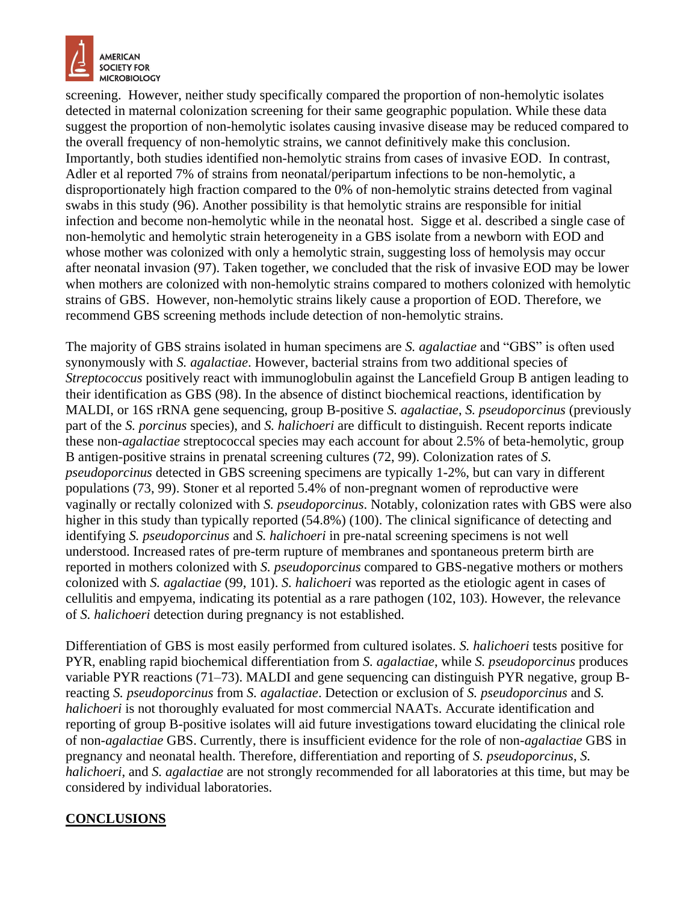

screening. However, neither study specifically compared the proportion of non-hemolytic isolates detected in maternal colonization screening for their same geographic population. While these data suggest the proportion of non-hemolytic isolates causing invasive disease may be reduced compared to the overall frequency of non-hemolytic strains, we cannot definitively make this conclusion. Importantly, both studies identified non-hemolytic strains from cases of invasive EOD. In contrast, Adler et al reported 7% of strains from neonatal/peripartum infections to be non-hemolytic, a disproportionately high fraction compared to the 0% of non-hemolytic strains detected from vaginal swabs in this study (96). Another possibility is that hemolytic strains are responsible for initial infection and become non-hemolytic while in the neonatal host. Sigge et al. described a single case of non-hemolytic and hemolytic strain heterogeneity in a GBS isolate from a newborn with EOD and whose mother was colonized with only a hemolytic strain, suggesting loss of hemolysis may occur after neonatal invasion (97). Taken together, we concluded that the risk of invasive EOD may be lower when mothers are colonized with non-hemolytic strains compared to mothers colonized with hemolytic strains of GBS. However, non-hemolytic strains likely cause a proportion of EOD. Therefore, we recommend GBS screening methods include detection of non-hemolytic strains.

The majority of GBS strains isolated in human specimens are *S. agalactiae* and "GBS" is often used synonymously with *S. agalactiae*. However, bacterial strains from two additional species of *Streptococcus* positively react with immunoglobulin against the Lancefield Group B antigen leading to their identification as GBS (98). In the absence of distinct biochemical reactions, identification by MALDI, or 16S rRNA gene sequencing, group B-positive *S. agalactiae*, *S. pseudoporcinus* (previously part of the *S. porcinus* species), and *S. halichoeri* are difficult to distinguish. Recent reports indicate these non-*agalactiae* streptococcal species may each account for about 2.5% of beta-hemolytic, group B antigen-positive strains in prenatal screening cultures (72, 99). Colonization rates of *S. pseudoporcinus* detected in GBS screening specimens are typically 1-2%, but can vary in different populations (73, 99). Stoner et al reported 5.4% of non-pregnant women of reproductive were vaginally or rectally colonized with *S. pseudoporcinus*. Notably, colonization rates with GBS were also higher in this study than typically reported (54.8%) (100). The clinical significance of detecting and identifying *S. pseudoporcinus* and *S. halichoeri* in pre-natal screening specimens is not well understood. Increased rates of pre-term rupture of membranes and spontaneous preterm birth are reported in mothers colonized with *S. pseudoporcinus* compared to GBS-negative mothers or mothers colonized with *S. agalactiae* (99, 101). *S. halichoeri* was reported as the etiologic agent in cases of cellulitis and empyema, indicating its potential as a rare pathogen (102, 103). However, the relevance of *S. halichoeri* detection during pregnancy is not established.

Differentiation of GBS is most easily performed from cultured isolates. *S. halichoeri* tests positive for PYR, enabling rapid biochemical differentiation from *S. agalactiae*, while *S. pseudoporcinus* produces variable PYR reactions (71–73). MALDI and gene sequencing can distinguish PYR negative, group Breacting *S. pseudoporcinus* from *S. agalactiae*. Detection or exclusion of *S. pseudoporcinus* and *S. halichoeri* is not thoroughly evaluated for most commercial NAATs. Accurate identification and reporting of group B-positive isolates will aid future investigations toward elucidating the clinical role of non-*agalactiae* GBS. Currently, there is insufficient evidence for the role of non-*agalactiae* GBS in pregnancy and neonatal health. Therefore, differentiation and reporting of *S. pseudoporcinus*, *S. halichoeri*, and *S. agalactiae* are not strongly recommended for all laboratories at this time, but may be considered by individual laboratories.

# **CONCLUSIONS**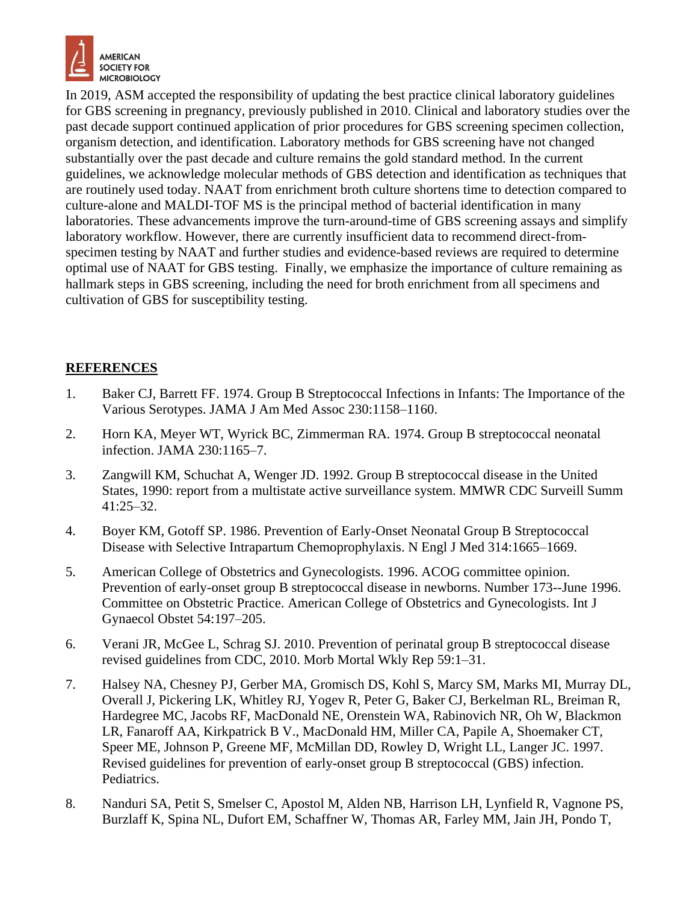

In 2019, ASM accepted the responsibility of updating the best practice clinical laboratory guidelines for GBS screening in pregnancy, previously published in 2010. Clinical and laboratory studies over the past decade support continued application of prior procedures for GBS screening specimen collection, organism detection, and identification. Laboratory methods for GBS screening have not changed substantially over the past decade and culture remains the gold standard method. In the current guidelines, we acknowledge molecular methods of GBS detection and identification as techniques that are routinely used today. NAAT from enrichment broth culture shortens time to detection compared to culture-alone and MALDI-TOF MS is the principal method of bacterial identification in many laboratories. These advancements improve the turn-around-time of GBS screening assays and simplify laboratory workflow. However, there are currently insufficient data to recommend direct-fromspecimen testing by NAAT and further studies and evidence-based reviews are required to determine optimal use of NAAT for GBS testing. Finally, we emphasize the importance of culture remaining as hallmark steps in GBS screening, including the need for broth enrichment from all specimens and cultivation of GBS for susceptibility testing.

### **REFERENCES**

- 1. Baker CJ, Barrett FF. 1974. Group B Streptococcal Infections in Infants: The Importance of the Various Serotypes. JAMA J Am Med Assoc 230:1158–1160.
- 2. Horn KA, Meyer WT, Wyrick BC, Zimmerman RA. 1974. Group B streptococcal neonatal infection. JAMA 230:1165–7.
- 3. Zangwill KM, Schuchat A, Wenger JD. 1992. Group B streptococcal disease in the United States, 1990: report from a multistate active surveillance system. MMWR CDC Surveill Summ 41:25–32.
- 4. Boyer KM, Gotoff SP. 1986. Prevention of Early-Onset Neonatal Group B Streptococcal Disease with Selective Intrapartum Chemoprophylaxis. N Engl J Med 314:1665–1669.
- 5. American College of Obstetrics and Gynecologists. 1996. ACOG committee opinion. Prevention of early-onset group B streptococcal disease in newborns. Number 173--June 1996. Committee on Obstetric Practice. American College of Obstetrics and Gynecologists. Int J Gynaecol Obstet 54:197–205.
- 6. Verani JR, McGee L, Schrag SJ. 2010. Prevention of perinatal group B streptococcal disease revised guidelines from CDC, 2010. Morb Mortal Wkly Rep 59:1–31.
- 7. Halsey NA, Chesney PJ, Gerber MA, Gromisch DS, Kohl S, Marcy SM, Marks MI, Murray DL, Overall J, Pickering LK, Whitley RJ, Yogev R, Peter G, Baker CJ, Berkelman RL, Breiman R, Hardegree MC, Jacobs RF, MacDonald NE, Orenstein WA, Rabinovich NR, Oh W, Blackmon LR, Fanaroff AA, Kirkpatrick B V., MacDonald HM, Miller CA, Papile A, Shoemaker CT, Speer ME, Johnson P, Greene MF, McMillan DD, Rowley D, Wright LL, Langer JC. 1997. Revised guidelines for prevention of early-onset group B streptococcal (GBS) infection. Pediatrics.
- 8. Nanduri SA, Petit S, Smelser C, Apostol M, Alden NB, Harrison LH, Lynfield R, Vagnone PS, Burzlaff K, Spina NL, Dufort EM, Schaffner W, Thomas AR, Farley MM, Jain JH, Pondo T,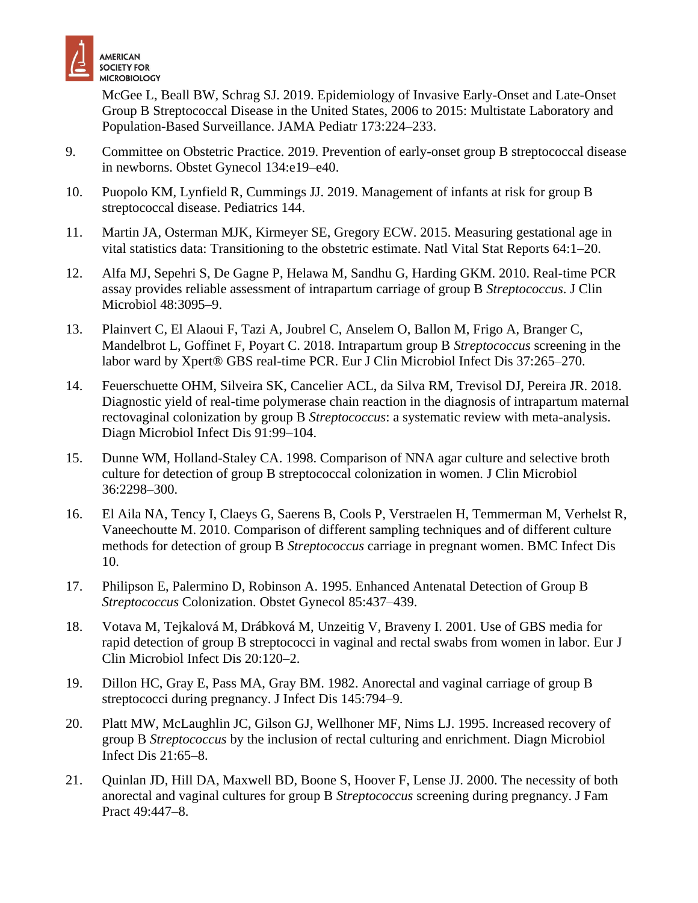

McGee L, Beall BW, Schrag SJ. 2019. Epidemiology of Invasive Early-Onset and Late-Onset Group B Streptococcal Disease in the United States, 2006 to 2015: Multistate Laboratory and Population-Based Surveillance. JAMA Pediatr 173:224–233.

- 9. Committee on Obstetric Practice. 2019. Prevention of early-onset group B streptococcal disease in newborns. Obstet Gynecol 134:e19–e40.
- 10. Puopolo KM, Lynfield R, Cummings JJ. 2019. Management of infants at risk for group B streptococcal disease. Pediatrics 144.
- 11. Martin JA, Osterman MJK, Kirmeyer SE, Gregory ECW. 2015. Measuring gestational age in vital statistics data: Transitioning to the obstetric estimate. Natl Vital Stat Reports 64:1–20.
- 12. Alfa MJ, Sepehri S, De Gagne P, Helawa M, Sandhu G, Harding GKM. 2010. Real-time PCR assay provides reliable assessment of intrapartum carriage of group B *Streptococcus*. J Clin Microbiol 48:3095–9.
- 13. Plainvert C, El Alaoui F, Tazi A, Joubrel C, Anselem O, Ballon M, Frigo A, Branger C, Mandelbrot L, Goffinet F, Poyart C. 2018. Intrapartum group B *Streptococcus* screening in the labor ward by Xpert® GBS real-time PCR. Eur J Clin Microbiol Infect Dis 37:265–270.
- 14. Feuerschuette OHM, Silveira SK, Cancelier ACL, da Silva RM, Trevisol DJ, Pereira JR. 2018. Diagnostic yield of real-time polymerase chain reaction in the diagnosis of intrapartum maternal rectovaginal colonization by group B *Streptococcus*: a systematic review with meta-analysis. Diagn Microbiol Infect Dis 91:99–104.
- 15. Dunne WM, Holland-Staley CA. 1998. Comparison of NNA agar culture and selective broth culture for detection of group B streptococcal colonization in women. J Clin Microbiol 36:2298–300.
- 16. El Aila NA, Tency I, Claeys G, Saerens B, Cools P, Verstraelen H, Temmerman M, Verhelst R, Vaneechoutte M. 2010. Comparison of different sampling techniques and of different culture methods for detection of group B *Streptococcus* carriage in pregnant women. BMC Infect Dis 10.
- 17. Philipson E, Palermino D, Robinson A. 1995. Enhanced Antenatal Detection of Group B *Streptococcus* Colonization. Obstet Gynecol 85:437–439.
- 18. Votava M, Tejkalová M, Drábková M, Unzeitig V, Braveny I. 2001. Use of GBS media for rapid detection of group B streptococci in vaginal and rectal swabs from women in labor. Eur J Clin Microbiol Infect Dis 20:120–2.
- 19. Dillon HC, Gray E, Pass MA, Gray BM. 1982. Anorectal and vaginal carriage of group B streptococci during pregnancy. J Infect Dis 145:794–9.
- 20. Platt MW, McLaughlin JC, Gilson GJ, Wellhoner MF, Nims LJ. 1995. Increased recovery of group B *Streptococcus* by the inclusion of rectal culturing and enrichment. Diagn Microbiol Infect Dis 21:65–8.
- 21. Quinlan JD, Hill DA, Maxwell BD, Boone S, Hoover F, Lense JJ. 2000. The necessity of both anorectal and vaginal cultures for group B *Streptococcus* screening during pregnancy. J Fam Pract 49:447–8.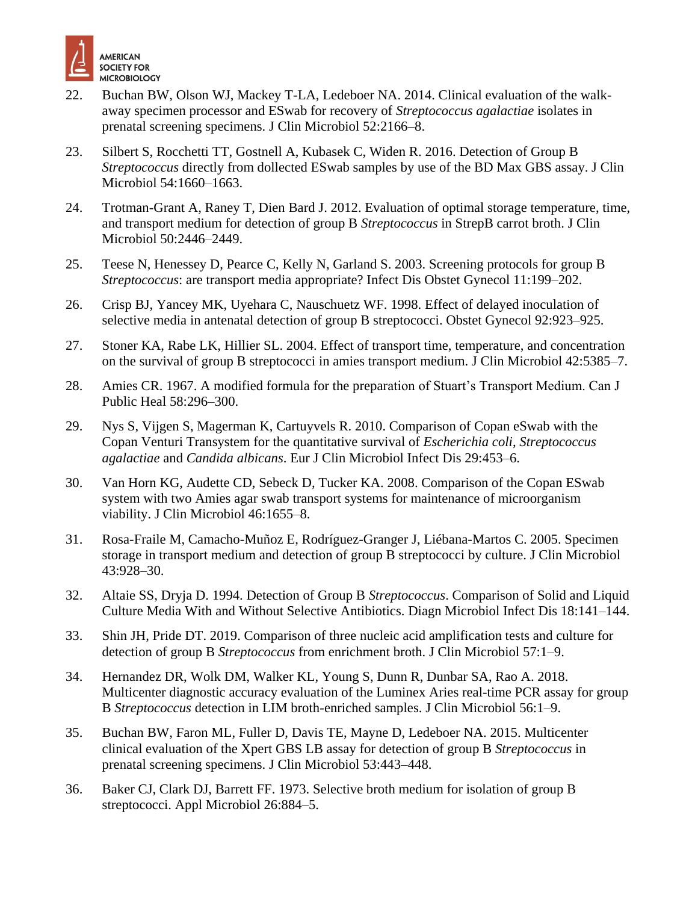

- 22. Buchan BW, Olson WJ, Mackey T-LA, Ledeboer NA. 2014. Clinical evaluation of the walkaway specimen processor and ESwab for recovery of *Streptococcus agalactiae* isolates in prenatal screening specimens. J Clin Microbiol 52:2166–8.
- 23. Silbert S, Rocchetti TT, Gostnell A, Kubasek C, Widen R. 2016. Detection of Group B *Streptococcus* directly from dollected ESwab samples by use of the BD Max GBS assay. J Clin Microbiol 54:1660–1663.
- 24. Trotman-Grant A, Raney T, Dien Bard J. 2012. Evaluation of optimal storage temperature, time, and transport medium for detection of group B *Streptococcus* in StrepB carrot broth. J Clin Microbiol 50:2446–2449.
- 25. Teese N, Henessey D, Pearce C, Kelly N, Garland S. 2003. Screening protocols for group B *Streptococcus*: are transport media appropriate? Infect Dis Obstet Gynecol 11:199–202.
- 26. Crisp BJ, Yancey MK, Uyehara C, Nauschuetz WF. 1998. Effect of delayed inoculation of selective media in antenatal detection of group B streptococci. Obstet Gynecol 92:923–925.
- 27. Stoner KA, Rabe LK, Hillier SL. 2004. Effect of transport time, temperature, and concentration on the survival of group B streptococci in amies transport medium. J Clin Microbiol 42:5385–7.
- 28. Amies CR. 1967. A modified formula for the preparation of Stuart's Transport Medium. Can J Public Heal 58:296–300.
- 29. Nys S, Vijgen S, Magerman K, Cartuyvels R. 2010. Comparison of Copan eSwab with the Copan Venturi Transystem for the quantitative survival of *Escherichia coli*, *Streptococcus agalactiae* and *Candida albicans*. Eur J Clin Microbiol Infect Dis 29:453–6.
- 30. Van Horn KG, Audette CD, Sebeck D, Tucker KA. 2008. Comparison of the Copan ESwab system with two Amies agar swab transport systems for maintenance of microorganism viability. J Clin Microbiol 46:1655–8.
- 31. Rosa-Fraile M, Camacho-Muñoz E, Rodríguez-Granger J, Liébana-Martos C. 2005. Specimen storage in transport medium and detection of group B streptococci by culture. J Clin Microbiol 43:928–30.
- 32. Altaie SS, Dryja D. 1994. Detection of Group B *Streptococcus*. Comparison of Solid and Liquid Culture Media With and Without Selective Antibiotics. Diagn Microbiol Infect Dis 18:141–144.
- 33. Shin JH, Pride DT. 2019. Comparison of three nucleic acid amplification tests and culture for detection of group B *Streptococcus* from enrichment broth. J Clin Microbiol 57:1–9.
- 34. Hernandez DR, Wolk DM, Walker KL, Young S, Dunn R, Dunbar SA, Rao A. 2018. Multicenter diagnostic accuracy evaluation of the Luminex Aries real-time PCR assay for group B *Streptococcus* detection in LIM broth-enriched samples. J Clin Microbiol 56:1–9.
- 35. Buchan BW, Faron ML, Fuller D, Davis TE, Mayne D, Ledeboer NA. 2015. Multicenter clinical evaluation of the Xpert GBS LB assay for detection of group B *Streptococcus* in prenatal screening specimens. J Clin Microbiol 53:443–448.
- 36. Baker CJ, Clark DJ, Barrett FF. 1973. Selective broth medium for isolation of group B streptococci. Appl Microbiol 26:884–5.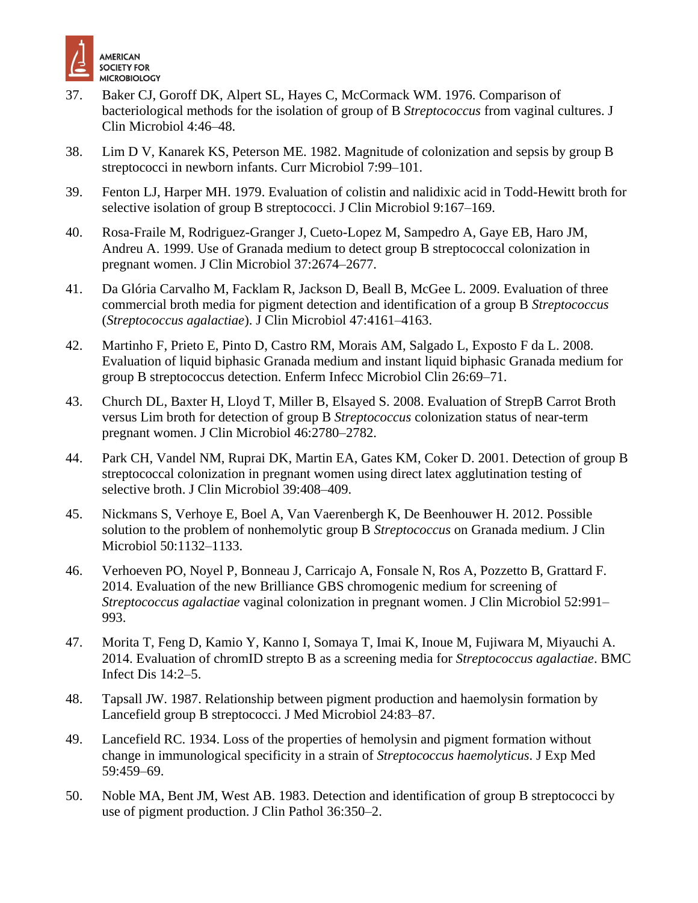

- 37. Baker CJ, Goroff DK, Alpert SL, Hayes C, McCormack WM. 1976. Comparison of bacteriological methods for the isolation of group of B *Streptococcus* from vaginal cultures. J Clin Microbiol 4:46–48.
- 38. Lim D V, Kanarek KS, Peterson ME. 1982. Magnitude of colonization and sepsis by group B streptococci in newborn infants. Curr Microbiol 7:99–101.
- 39. Fenton LJ, Harper MH. 1979. Evaluation of colistin and nalidixic acid in Todd-Hewitt broth for selective isolation of group B streptococci. J Clin Microbiol 9:167–169.
- 40. Rosa-Fraile M, Rodriguez-Granger J, Cueto-Lopez M, Sampedro A, Gaye EB, Haro JM, Andreu A. 1999. Use of Granada medium to detect group B streptococcal colonization in pregnant women. J Clin Microbiol 37:2674–2677.
- 41. Da Glória Carvalho M, Facklam R, Jackson D, Beall B, McGee L. 2009. Evaluation of three commercial broth media for pigment detection and identification of a group B *Streptococcus* (*Streptococcus agalactiae*). J Clin Microbiol 47:4161–4163.
- 42. Martinho F, Prieto E, Pinto D, Castro RM, Morais AM, Salgado L, Exposto F da L. 2008. Evaluation of liquid biphasic Granada medium and instant liquid biphasic Granada medium for group B streptococcus detection. Enferm Infecc Microbiol Clin 26:69–71.
- 43. Church DL, Baxter H, Lloyd T, Miller B, Elsayed S. 2008. Evaluation of StrepB Carrot Broth versus Lim broth for detection of group B *Streptococcus* colonization status of near-term pregnant women. J Clin Microbiol 46:2780–2782.
- 44. Park CH, Vandel NM, Ruprai DK, Martin EA, Gates KM, Coker D. 2001. Detection of group B streptococcal colonization in pregnant women using direct latex agglutination testing of selective broth. J Clin Microbiol 39:408–409.
- 45. Nickmans S, Verhoye E, Boel A, Van Vaerenbergh K, De Beenhouwer H. 2012. Possible solution to the problem of nonhemolytic group B *Streptococcus* on Granada medium. J Clin Microbiol 50:1132–1133.
- 46. Verhoeven PO, Noyel P, Bonneau J, Carricajo A, Fonsale N, Ros A, Pozzetto B, Grattard F. 2014. Evaluation of the new Brilliance GBS chromogenic medium for screening of *Streptococcus agalactiae* vaginal colonization in pregnant women. J Clin Microbiol 52:991– 993.
- 47. Morita T, Feng D, Kamio Y, Kanno I, Somaya T, Imai K, Inoue M, Fujiwara M, Miyauchi A. 2014. Evaluation of chromID strepto B as a screening media for *Streptococcus agalactiae*. BMC Infect Dis 14:2–5.
- 48. Tapsall JW. 1987. Relationship between pigment production and haemolysin formation by Lancefield group B streptococci. J Med Microbiol 24:83–87.
- 49. Lancefield RC. 1934. Loss of the properties of hemolysin and pigment formation without change in immunological specificity in a strain of *Streptococcus haemolyticus*. J Exp Med 59:459–69.
- 50. Noble MA, Bent JM, West AB. 1983. Detection and identification of group B streptococci by use of pigment production. J Clin Pathol 36:350–2.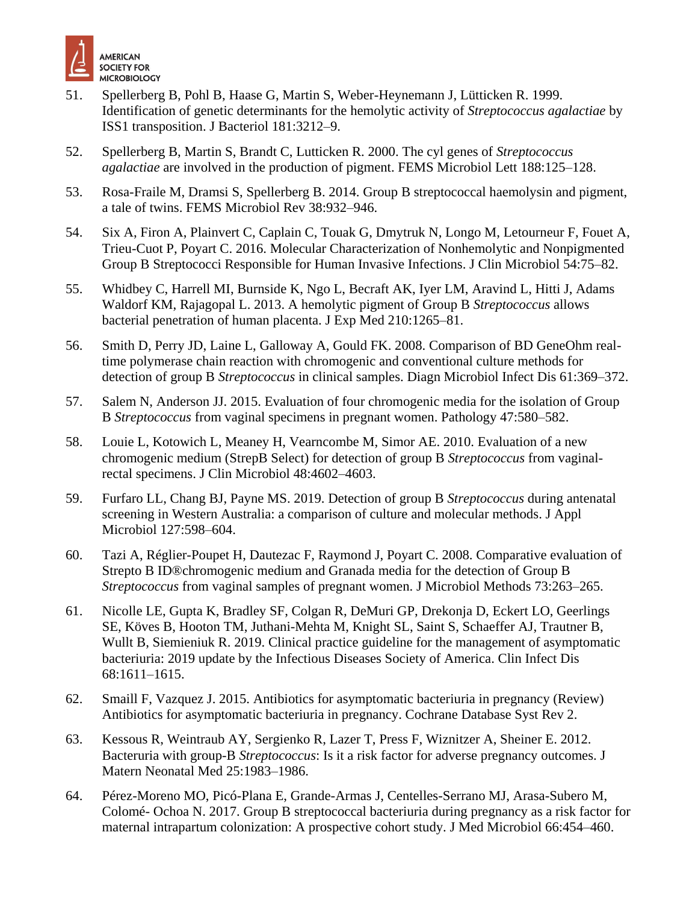

- 51. Spellerberg B, Pohl B, Haase G, Martin S, Weber-Heynemann J, Lütticken R. 1999. Identification of genetic determinants for the hemolytic activity of *Streptococcus agalactiae* by ISS1 transposition. J Bacteriol 181:3212–9.
- 52. Spellerberg B, Martin S, Brandt C, Lutticken R. 2000. The cyl genes of *Streptococcus agalactiae* are involved in the production of pigment. FEMS Microbiol Lett 188:125–128.
- 53. Rosa-Fraile M, Dramsi S, Spellerberg B. 2014. Group B streptococcal haemolysin and pigment, a tale of twins. FEMS Microbiol Rev 38:932–946.
- 54. Six A, Firon A, Plainvert C, Caplain C, Touak G, Dmytruk N, Longo M, Letourneur F, Fouet A, Trieu-Cuot P, Poyart C. 2016. Molecular Characterization of Nonhemolytic and Nonpigmented Group B Streptococci Responsible for Human Invasive Infections. J Clin Microbiol 54:75–82.
- 55. Whidbey C, Harrell MI, Burnside K, Ngo L, Becraft AK, Iyer LM, Aravind L, Hitti J, Adams Waldorf KM, Rajagopal L. 2013. A hemolytic pigment of Group B *Streptococcus* allows bacterial penetration of human placenta. J Exp Med 210:1265–81.
- 56. Smith D, Perry JD, Laine L, Galloway A, Gould FK. 2008. Comparison of BD GeneOhm realtime polymerase chain reaction with chromogenic and conventional culture methods for detection of group B *Streptococcus* in clinical samples. Diagn Microbiol Infect Dis 61:369–372.
- 57. Salem N, Anderson JJ. 2015. Evaluation of four chromogenic media for the isolation of Group B *Streptococcus* from vaginal specimens in pregnant women. Pathology 47:580–582.
- 58. Louie L, Kotowich L, Meaney H, Vearncombe M, Simor AE. 2010. Evaluation of a new chromogenic medium (StrepB Select) for detection of group B *Streptococcus* from vaginalrectal specimens. J Clin Microbiol 48:4602–4603.
- 59. Furfaro LL, Chang BJ, Payne MS. 2019. Detection of group B *Streptococcus* during antenatal screening in Western Australia: a comparison of culture and molecular methods. J Appl Microbiol 127:598–604.
- 60. Tazi A, Réglier-Poupet H, Dautezac F, Raymond J, Poyart C. 2008. Comparative evaluation of Strepto B ID®chromogenic medium and Granada media for the detection of Group B *Streptococcus* from vaginal samples of pregnant women. J Microbiol Methods 73:263–265.
- 61. Nicolle LE, Gupta K, Bradley SF, Colgan R, DeMuri GP, Drekonja D, Eckert LO, Geerlings SE, Köves B, Hooton TM, Juthani-Mehta M, Knight SL, Saint S, Schaeffer AJ, Trautner B, Wullt B, Siemieniuk R. 2019. Clinical practice guideline for the management of asymptomatic bacteriuria: 2019 update by the Infectious Diseases Society of America. Clin Infect Dis 68:1611–1615.
- 62. Smaill F, Vazquez J. 2015. Antibiotics for asymptomatic bacteriuria in pregnancy (Review) Antibiotics for asymptomatic bacteriuria in pregnancy. Cochrane Database Syst Rev 2.
- 63. Kessous R, Weintraub AY, Sergienko R, Lazer T, Press F, Wiznitzer A, Sheiner E. 2012. Bacteruria with group-B *Streptococcus*: Is it a risk factor for adverse pregnancy outcomes. J Matern Neonatal Med 25:1983–1986.
- 64. Pérez-Moreno MO, Picó-Plana E, Grande-Armas J, Centelles-Serrano MJ, Arasa-Subero M, Colomé- Ochoa N. 2017. Group B streptococcal bacteriuria during pregnancy as a risk factor for maternal intrapartum colonization: A prospective cohort study. J Med Microbiol 66:454–460.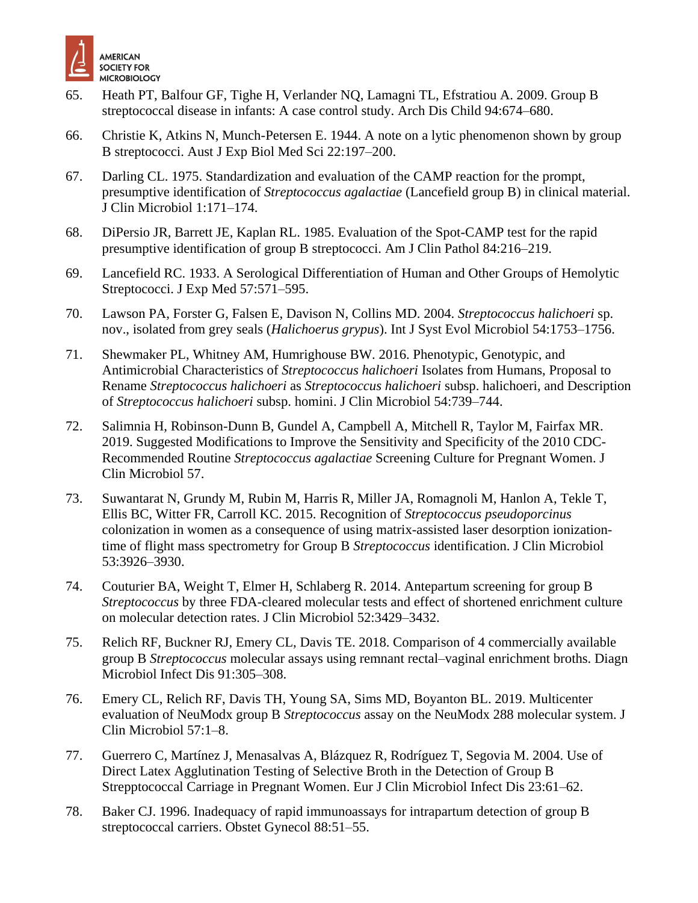

- 65. Heath PT, Balfour GF, Tighe H, Verlander NQ, Lamagni TL, Efstratiou A. 2009. Group B streptococcal disease in infants: A case control study. Arch Dis Child 94:674–680.
- 66. Christie K, Atkins N, Munch-Petersen E. 1944. A note on a lytic phenomenon shown by group B streptococci. Aust J Exp Biol Med Sci 22:197–200.
- 67. Darling CL. 1975. Standardization and evaluation of the CAMP reaction for the prompt, presumptive identification of *Streptococcus agalactiae* (Lancefield group B) in clinical material. J Clin Microbiol 1:171–174.
- 68. DiPersio JR, Barrett JE, Kaplan RL. 1985. Evaluation of the Spot-CAMP test for the rapid presumptive identification of group B streptococci. Am J Clin Pathol 84:216–219.
- 69. Lancefield RC. 1933. A Serological Differentiation of Human and Other Groups of Hemolytic Streptococci. J Exp Med 57:571–595.
- 70. Lawson PA, Forster G, Falsen E, Davison N, Collins MD. 2004. *Streptococcus halichoeri* sp. nov., isolated from grey seals (*Halichoerus grypus*). Int J Syst Evol Microbiol 54:1753–1756.
- 71. Shewmaker PL, Whitney AM, Humrighouse BW. 2016. Phenotypic, Genotypic, and Antimicrobial Characteristics of *Streptococcus halichoeri* Isolates from Humans, Proposal to Rename *Streptococcus halichoeri* as *Streptococcus halichoeri* subsp. halichoeri, and Description of *Streptococcus halichoeri* subsp. homini. J Clin Microbiol 54:739–744.
- 72. Salimnia H, Robinson-Dunn B, Gundel A, Campbell A, Mitchell R, Taylor M, Fairfax MR. 2019. Suggested Modifications to Improve the Sensitivity and Specificity of the 2010 CDC-Recommended Routine *Streptococcus agalactiae* Screening Culture for Pregnant Women. J Clin Microbiol 57.
- 73. Suwantarat N, Grundy M, Rubin M, Harris R, Miller JA, Romagnoli M, Hanlon A, Tekle T, Ellis BC, Witter FR, Carroll KC. 2015. Recognition of *Streptococcus pseudoporcinus* colonization in women as a consequence of using matrix-assisted laser desorption ionizationtime of flight mass spectrometry for Group B *Streptococcus* identification. J Clin Microbiol 53:3926–3930.
- 74. Couturier BA, Weight T, Elmer H, Schlaberg R. 2014. Antepartum screening for group B *Streptococcus* by three FDA-cleared molecular tests and effect of shortened enrichment culture on molecular detection rates. J Clin Microbiol 52:3429–3432.
- 75. Relich RF, Buckner RJ, Emery CL, Davis TE. 2018. Comparison of 4 commercially available group B *Streptococcus* molecular assays using remnant rectal–vaginal enrichment broths. Diagn Microbiol Infect Dis 91:305–308.
- 76. Emery CL, Relich RF, Davis TH, Young SA, Sims MD, Boyanton BL. 2019. Multicenter evaluation of NeuModx group B *Streptococcus* assay on the NeuModx 288 molecular system. J Clin Microbiol 57:1–8.
- 77. Guerrero C, Martínez J, Menasalvas A, Blázquez R, Rodríguez T, Segovia M. 2004. Use of Direct Latex Agglutination Testing of Selective Broth in the Detection of Group B Strepptococcal Carriage in Pregnant Women. Eur J Clin Microbiol Infect Dis 23:61–62.
- 78. Baker CJ. 1996. Inadequacy of rapid immunoassays for intrapartum detection of group B streptococcal carriers. Obstet Gynecol 88:51–55.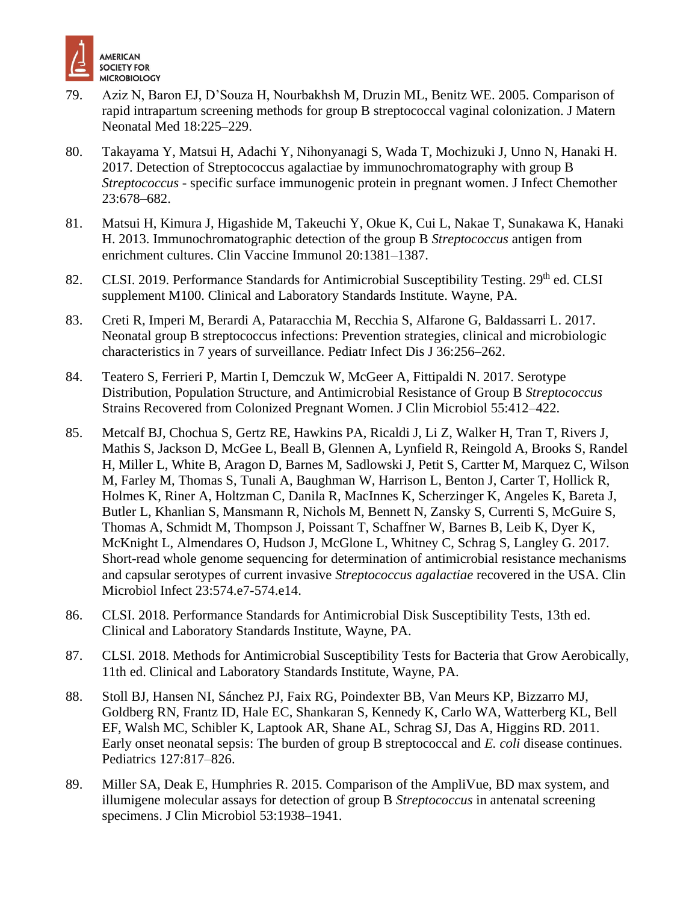

- 79. Aziz N, Baron EJ, D'Souza H, Nourbakhsh M, Druzin ML, Benitz WE. 2005. Comparison of rapid intrapartum screening methods for group B streptococcal vaginal colonization. J Matern Neonatal Med 18:225–229.
- 80. Takayama Y, Matsui H, Adachi Y, Nihonyanagi S, Wada T, Mochizuki J, Unno N, Hanaki H. 2017. Detection of Streptococcus agalactiae by immunochromatography with group B *Streptococcus* - specific surface immunogenic protein in pregnant women. J Infect Chemother 23:678–682.
- 81. Matsui H, Kimura J, Higashide M, Takeuchi Y, Okue K, Cui L, Nakae T, Sunakawa K, Hanaki H. 2013. Immunochromatographic detection of the group B *Streptococcus* antigen from enrichment cultures. Clin Vaccine Immunol 20:1381–1387.
- 82. CLSI. 2019. Performance Standards for Antimicrobial Susceptibility Testing. 29<sup>th</sup> ed. CLSI supplement M100. Clinical and Laboratory Standards Institute. Wayne, PA.
- 83. Creti R, Imperi M, Berardi A, Pataracchia M, Recchia S, Alfarone G, Baldassarri L. 2017. Neonatal group B streptococcus infections: Prevention strategies, clinical and microbiologic characteristics in 7 years of surveillance. Pediatr Infect Dis J 36:256–262.
- 84. Teatero S, Ferrieri P, Martin I, Demczuk W, McGeer A, Fittipaldi N. 2017. Serotype Distribution, Population Structure, and Antimicrobial Resistance of Group B *Streptococcus* Strains Recovered from Colonized Pregnant Women. J Clin Microbiol 55:412–422.
- 85. Metcalf BJ, Chochua S, Gertz RE, Hawkins PA, Ricaldi J, Li Z, Walker H, Tran T, Rivers J, Mathis S, Jackson D, McGee L, Beall B, Glennen A, Lynfield R, Reingold A, Brooks S, Randel H, Miller L, White B, Aragon D, Barnes M, Sadlowski J, Petit S, Cartter M, Marquez C, Wilson M, Farley M, Thomas S, Tunali A, Baughman W, Harrison L, Benton J, Carter T, Hollick R, Holmes K, Riner A, Holtzman C, Danila R, MacInnes K, Scherzinger K, Angeles K, Bareta J, Butler L, Khanlian S, Mansmann R, Nichols M, Bennett N, Zansky S, Currenti S, McGuire S, Thomas A, Schmidt M, Thompson J, Poissant T, Schaffner W, Barnes B, Leib K, Dyer K, McKnight L, Almendares O, Hudson J, McGlone L, Whitney C, Schrag S, Langley G. 2017. Short-read whole genome sequencing for determination of antimicrobial resistance mechanisms and capsular serotypes of current invasive *Streptococcus agalactiae* recovered in the USA. Clin Microbiol Infect 23:574.e7-574.e14.
- 86. CLSI. 2018. Performance Standards for Antimicrobial Disk Susceptibility Tests, 13th ed. Clinical and Laboratory Standards Institute, Wayne, PA.
- 87. CLSI. 2018. Methods for Antimicrobial Susceptibility Tests for Bacteria that Grow Aerobically, 11th ed. Clinical and Laboratory Standards Institute, Wayne, PA.
- 88. Stoll BJ, Hansen NI, Sánchez PJ, Faix RG, Poindexter BB, Van Meurs KP, Bizzarro MJ, Goldberg RN, Frantz ID, Hale EC, Shankaran S, Kennedy K, Carlo WA, Watterberg KL, Bell EF, Walsh MC, Schibler K, Laptook AR, Shane AL, Schrag SJ, Das A, Higgins RD. 2011. Early onset neonatal sepsis: The burden of group B streptococcal and *E. coli* disease continues. Pediatrics 127:817–826.
- 89. Miller SA, Deak E, Humphries R. 2015. Comparison of the AmpliVue, BD max system, and illumigene molecular assays for detection of group B *Streptococcus* in antenatal screening specimens. J Clin Microbiol 53:1938–1941.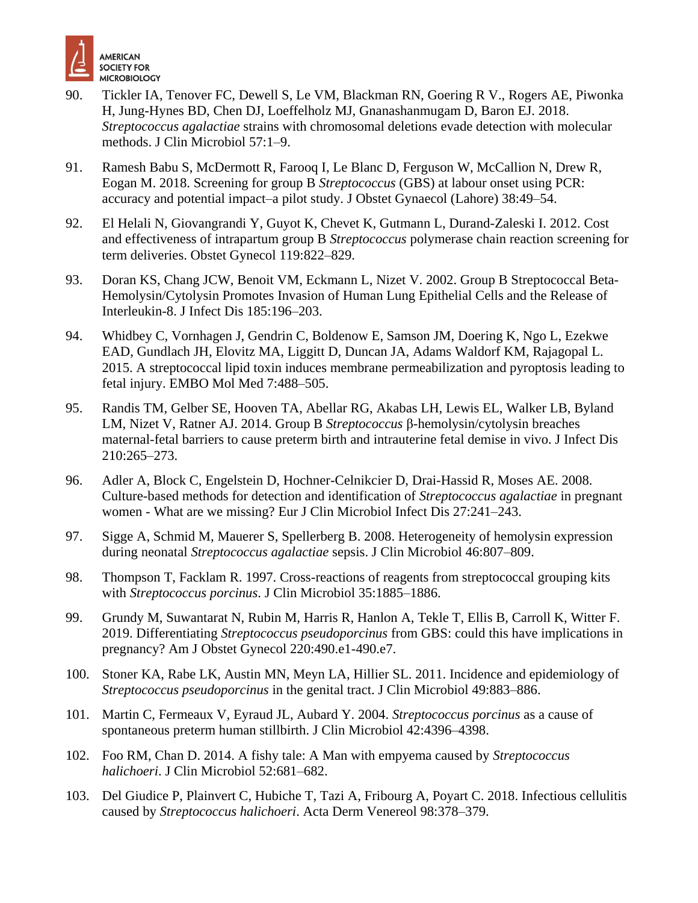

- 90. Tickler IA, Tenover FC, Dewell S, Le VM, Blackman RN, Goering R V., Rogers AE, Piwonka H, Jung-Hynes BD, Chen DJ, Loeffelholz MJ, Gnanashanmugam D, Baron EJ. 2018. *Streptococcus agalactiae* strains with chromosomal deletions evade detection with molecular methods. J Clin Microbiol 57:1–9.
- 91. Ramesh Babu S, McDermott R, Farooq I, Le Blanc D, Ferguson W, McCallion N, Drew R, Eogan M. 2018. Screening for group B *Streptococcus* (GBS) at labour onset using PCR: accuracy and potential impact–a pilot study. J Obstet Gynaecol (Lahore) 38:49–54.
- 92. El Helali N, Giovangrandi Y, Guyot K, Chevet K, Gutmann L, Durand-Zaleski I. 2012. Cost and effectiveness of intrapartum group B *Streptococcus* polymerase chain reaction screening for term deliveries. Obstet Gynecol 119:822–829.
- 93. Doran KS, Chang JCW, Benoit VM, Eckmann L, Nizet V. 2002. Group B Streptococcal Beta-Hemolysin/Cytolysin Promotes Invasion of Human Lung Epithelial Cells and the Release of Interleukin-8. J Infect Dis 185:196–203.
- 94. Whidbey C, Vornhagen J, Gendrin C, Boldenow E, Samson JM, Doering K, Ngo L, Ezekwe EAD, Gundlach JH, Elovitz MA, Liggitt D, Duncan JA, Adams Waldorf KM, Rajagopal L. 2015. A streptococcal lipid toxin induces membrane permeabilization and pyroptosis leading to fetal injury. EMBO Mol Med 7:488–505.
- 95. Randis TM, Gelber SE, Hooven TA, Abellar RG, Akabas LH, Lewis EL, Walker LB, Byland LM, Nizet V, Ratner AJ. 2014. Group B *Streptococcus* β-hemolysin/cytolysin breaches maternal-fetal barriers to cause preterm birth and intrauterine fetal demise in vivo. J Infect Dis 210:265–273.
- 96. Adler A, Block C, Engelstein D, Hochner-Celnikcier D, Drai-Hassid R, Moses AE. 2008. Culture-based methods for detection and identification of *Streptococcus agalactiae* in pregnant women - What are we missing? Eur J Clin Microbiol Infect Dis 27:241–243.
- 97. Sigge A, Schmid M, Mauerer S, Spellerberg B. 2008. Heterogeneity of hemolysin expression during neonatal *Streptococcus agalactiae* sepsis. J Clin Microbiol 46:807–809.
- 98. Thompson T, Facklam R. 1997. Cross-reactions of reagents from streptococcal grouping kits with *Streptococcus porcinus*. J Clin Microbiol 35:1885–1886.
- 99. Grundy M, Suwantarat N, Rubin M, Harris R, Hanlon A, Tekle T, Ellis B, Carroll K, Witter F. 2019. Differentiating *Streptococcus pseudoporcinus* from GBS: could this have implications in pregnancy? Am J Obstet Gynecol 220:490.e1-490.e7.
- 100. Stoner KA, Rabe LK, Austin MN, Meyn LA, Hillier SL. 2011. Incidence and epidemiology of *Streptococcus pseudoporcinus* in the genital tract. J Clin Microbiol 49:883–886.
- 101. Martin C, Fermeaux V, Eyraud JL, Aubard Y. 2004. *Streptococcus porcinus* as a cause of spontaneous preterm human stillbirth. J Clin Microbiol 42:4396–4398.
- 102. Foo RM, Chan D. 2014. A fishy tale: A Man with empyema caused by *Streptococcus halichoeri*. J Clin Microbiol 52:681–682.
- 103. Del Giudice P, Plainvert C, Hubiche T, Tazi A, Fribourg A, Poyart C. 2018. Infectious cellulitis caused by *Streptococcus halichoeri*. Acta Derm Venereol 98:378–379.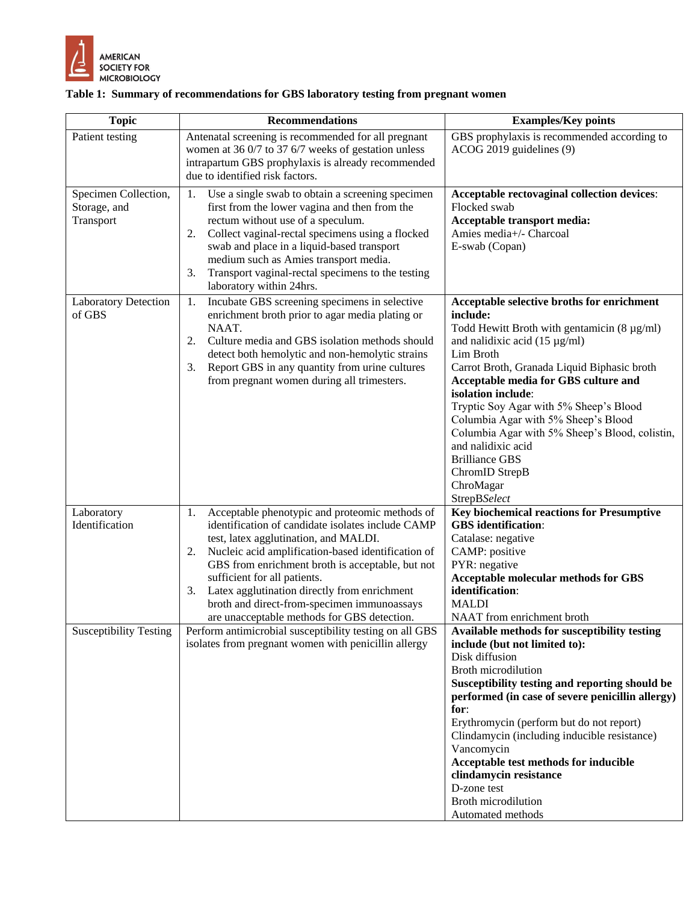

#### **Table 1: Summary of recommendations for GBS laboratory testing from pregnant women**

| <b>Topic</b>                  | <b>Recommendations</b>                                                                                    | <b>Examples/Key points</b>                                                             |
|-------------------------------|-----------------------------------------------------------------------------------------------------------|----------------------------------------------------------------------------------------|
| Patient testing               | Antenatal screening is recommended for all pregnant                                                       | GBS prophylaxis is recommended according to                                            |
|                               | women at 36 0/7 to 37 6/7 weeks of gestation unless<br>intrapartum GBS prophylaxis is already recommended | ACOG 2019 guidelines (9)                                                               |
|                               | due to identified risk factors.                                                                           |                                                                                        |
| Specimen Collection,          | Use a single swab to obtain a screening specimen<br>1.                                                    | Acceptable rectovaginal collection devices:                                            |
| Storage, and                  | first from the lower vagina and then from the                                                             | Flocked swab                                                                           |
| Transport                     | rectum without use of a speculum.                                                                         | Acceptable transport media:                                                            |
|                               | Collect vaginal-rectal specimens using a flocked<br>2.                                                    | Amies media+/- Charcoal                                                                |
|                               | swab and place in a liquid-based transport<br>medium such as Amies transport media.                       | E-swab (Copan)                                                                         |
|                               | Transport vaginal-rectal specimens to the testing<br>3.                                                   |                                                                                        |
|                               | laboratory within 24hrs.                                                                                  |                                                                                        |
| <b>Laboratory Detection</b>   | Incubate GBS screening specimens in selective<br>1.                                                       | Acceptable selective broths for enrichment                                             |
| of GBS                        | enrichment broth prior to agar media plating or                                                           | include:                                                                               |
|                               | NAAT.<br>Culture media and GBS isolation methods should<br>2.                                             | Todd Hewitt Broth with gentamicin $(8 \mu g/ml)$<br>and nalidixic acid $(15 \mu g/ml)$ |
|                               | detect both hemolytic and non-hemolytic strains                                                           | Lim Broth                                                                              |
|                               | Report GBS in any quantity from urine cultures<br>3.                                                      | Carrot Broth, Granada Liquid Biphasic broth                                            |
|                               | from pregnant women during all trimesters.                                                                | Acceptable media for GBS culture and                                                   |
|                               |                                                                                                           | isolation include:                                                                     |
|                               |                                                                                                           | Tryptic Soy Agar with 5% Sheep's Blood                                                 |
|                               |                                                                                                           | Columbia Agar with 5% Sheep's Blood                                                    |
|                               |                                                                                                           | Columbia Agar with 5% Sheep's Blood, colistin,                                         |
|                               |                                                                                                           | and nalidixic acid<br><b>Brilliance GBS</b>                                            |
|                               |                                                                                                           | ChromID StrepB                                                                         |
|                               |                                                                                                           | ChroMagar                                                                              |
|                               |                                                                                                           | StrepBSelect                                                                           |
| Laboratory                    | Acceptable phenotypic and proteomic methods of<br>1.                                                      | Key biochemical reactions for Presumptive                                              |
| Identification                | identification of candidate isolates include CAMP                                                         | <b>GBS</b> identification:                                                             |
|                               | test, latex agglutination, and MALDI.                                                                     | Catalase: negative                                                                     |
|                               | Nucleic acid amplification-based identification of<br>2.                                                  | CAMP: positive<br>PYR: negative                                                        |
|                               | GBS from enrichment broth is acceptable, but not<br>sufficient for all patients.                          | <b>Acceptable molecular methods for GBS</b>                                            |
|                               | Latex agglutination directly from enrichment<br>3.                                                        | identification:                                                                        |
|                               | broth and direct-from-specimen immunoassays                                                               | <b>MALDI</b>                                                                           |
|                               | are unacceptable methods for GBS detection.                                                               | NAAT from enrichment broth                                                             |
| <b>Susceptibility Testing</b> | Perform antimicrobial susceptibility testing on all GBS                                                   | Available methods for susceptibility testing                                           |
|                               | isolates from pregnant women with penicillin allergy                                                      | include (but not limited to):                                                          |
|                               |                                                                                                           | Disk diffusion                                                                         |
|                               |                                                                                                           | <b>Broth microdilution</b><br>Susceptibility testing and reporting should be           |
|                               |                                                                                                           | performed (in case of severe penicillin allergy)                                       |
|                               |                                                                                                           | for:                                                                                   |
|                               |                                                                                                           | Erythromycin (perform but do not report)                                               |
|                               |                                                                                                           | Clindamycin (including inducible resistance)                                           |
|                               |                                                                                                           | Vancomycin                                                                             |
|                               |                                                                                                           | Acceptable test methods for inducible                                                  |
|                               |                                                                                                           | clindamycin resistance<br>D-zone test                                                  |
|                               |                                                                                                           | Broth microdilution                                                                    |
|                               |                                                                                                           | Automated methods                                                                      |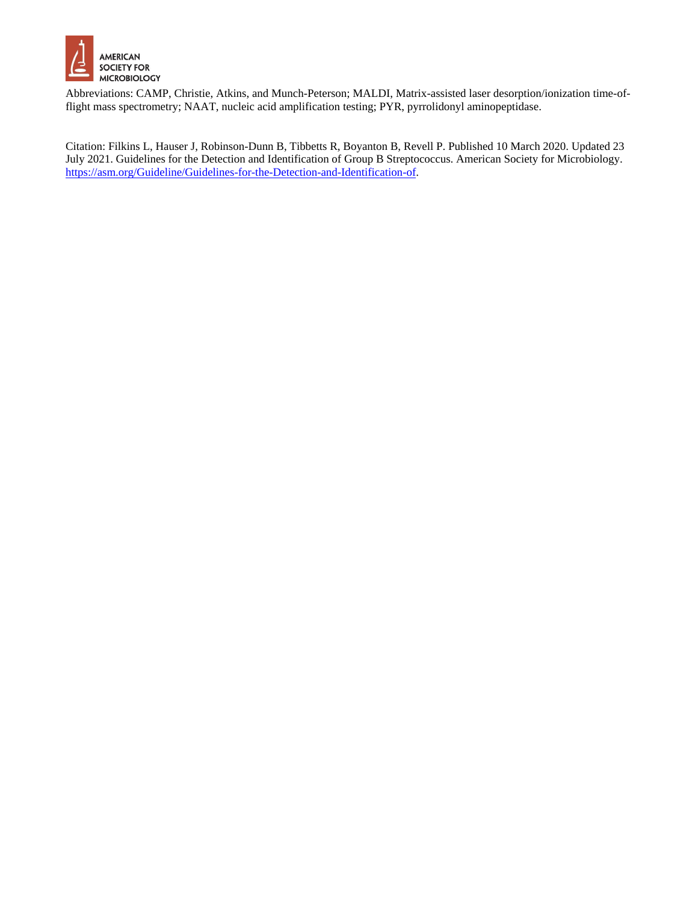

Abbreviations: CAMP, Christie, Atkins, and Munch-Peterson; MALDI, Matrix-assisted laser desorption/ionization time-offlight mass spectrometry; NAAT, nucleic acid amplification testing; PYR, pyrrolidonyl aminopeptidase.

Citation: Filkins L, Hauser J, Robinson-Dunn B, Tibbetts R, Boyanton B, Revell P. Published 10 March 2020. Updated 23 July 2021. Guidelines for the Detection and Identification of Group B Streptococcus. American Society for Microbiology. [https://asm.org/Guideline/Guidelines-for-the-Detection-and-Identification-of.](https://asm.org/Guideline/Guidelines-for-the-Detection-and-Identification-of)